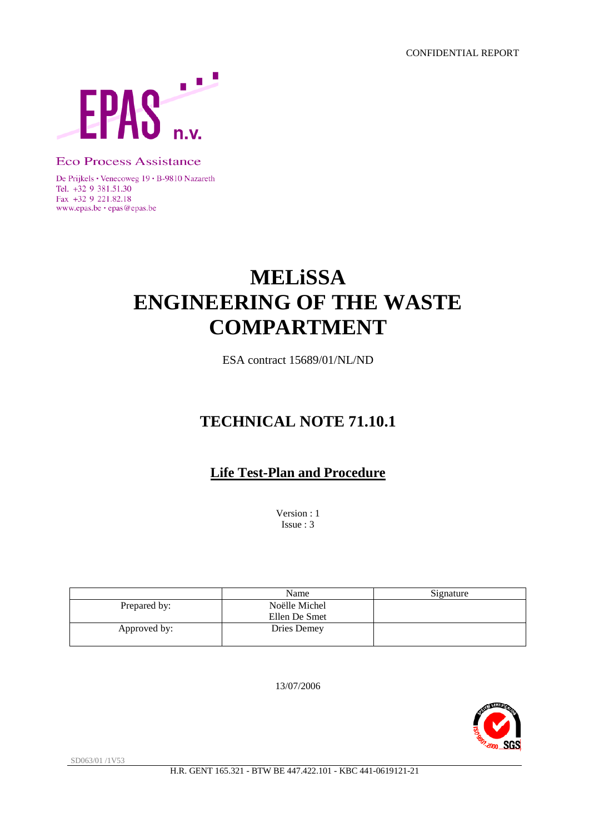

**Eco Process Assistance** 

De Prijkels · Venecoweg 19 · B-9810 Nazareth Tel. +32 9 381.51.30 Fax +32 9 221.82.18 www.epas.be · epas@epas.be

# **MELiSSA ENGINEERING OF THE WASTE COMPARTMENT**

ESA contract 15689/01/NL/ND

# **TECHNICAL NOTE 71.10.1**

# **Life Test-Plan and Procedure**

Version : 1 Issue : 3

|              | Name          | Signature |
|--------------|---------------|-----------|
| Prepared by: | Noëlle Michel |           |
|              | Ellen De Smet |           |
| Approved by: | Dries Demey   |           |

13/07/2006



SD063/01 /1V53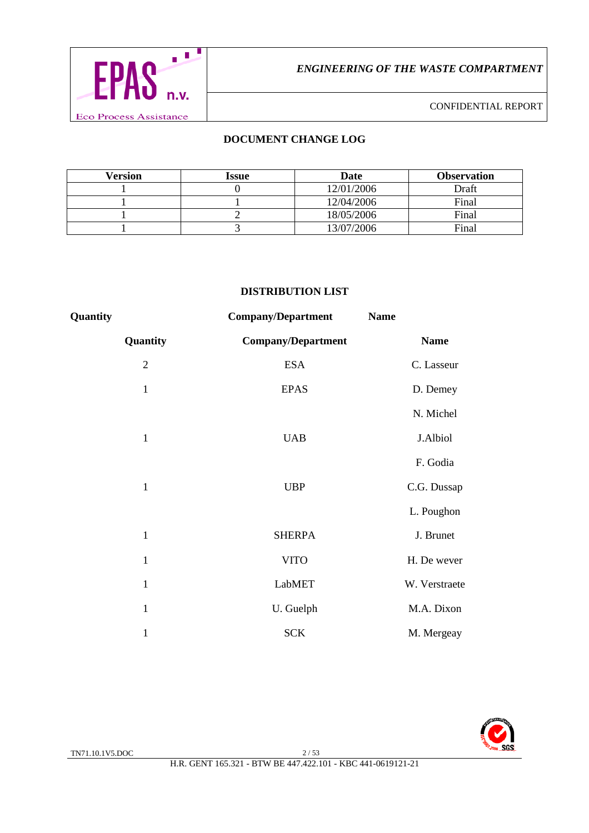

# **DOCUMENT CHANGE LOG**

| Version | Issue | Date       | <b>Observation</b> |
|---------|-------|------------|--------------------|
|         |       | 12/01/2006 | Draft              |
|         |       | 12/04/2006 | Final              |
|         |       | 18/05/2006 | Final              |
|         |       | 13/07/2006 | Final              |

#### **DISTRIBUTION LIST**

| Quantity     | <b>Company/Department</b> | <b>Name</b>   |
|--------------|---------------------------|---------------|
| Quantity     | <b>Company/Department</b> | <b>Name</b>   |
| $\mathbf{2}$ | <b>ESA</b>                | C. Lasseur    |
| $\mathbf{1}$ | <b>EPAS</b>               | D. Demey      |
|              |                           | N. Michel     |
| $\mathbf{1}$ | <b>UAB</b>                | J.Albiol      |
|              |                           | F. Godia      |
| $\mathbf{1}$ | <b>UBP</b>                | C.G. Dussap   |
|              |                           | L. Poughon    |
| $\mathbf{1}$ | <b>SHERPA</b>             | J. Brunet     |
| $\mathbf{1}$ | <b>VITO</b>               | H. De wever   |
| $\mathbf{1}$ | LabMET                    | W. Verstraete |
| $\mathbf{1}$ | U. Guelph                 | M.A. Dixon    |
| $\mathbf{1}$ | <b>SCK</b>                | M. Mergeay    |

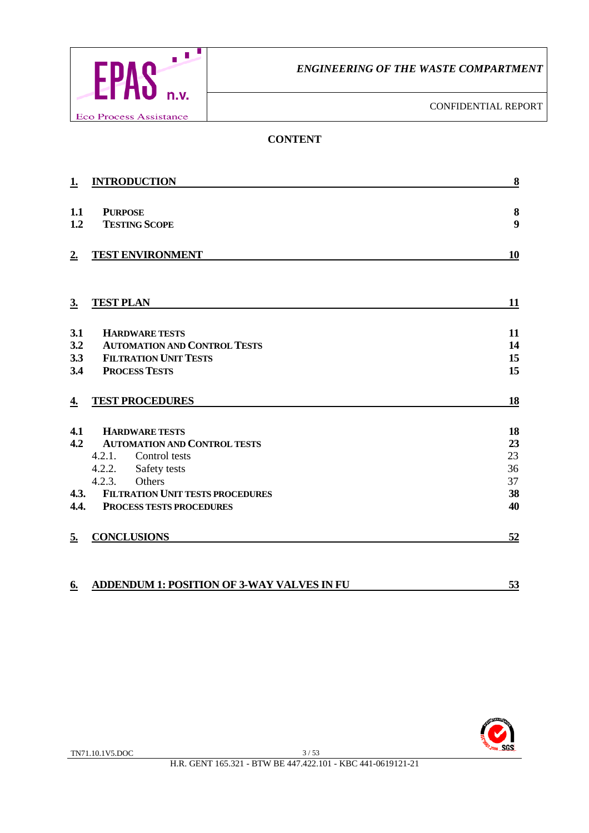

CONFIDENTIAL REPORT

# **CONTENT**

| 1.        | <b>INTRODUCTION</b>                               | 8         |
|-----------|---------------------------------------------------|-----------|
|           |                                                   |           |
| 1.1       | <b>PURPOSE</b>                                    | $\bf{8}$  |
| 1.2       | <b>TESTING SCOPE</b>                              | 9         |
| 2.        | <b>TEST ENVIRONMENT</b>                           | 10        |
|           |                                                   |           |
| 3.        | <b>TEST PLAN</b>                                  | 11        |
| 3.1       | <b>HARDWARE TESTS</b>                             | 11        |
| 3.2       | <b>AUTOMATION AND CONTROL TESTS</b>               | 14        |
| 3.3       | <b>FILTRATION UNIT TESTS</b>                      | 15        |
| 3.4       | <b>PROCESS TESTS</b>                              | 15        |
| <u>4.</u> | <b>TEST PROCEDURES</b>                            | <b>18</b> |
| 4.1       | <b>HARDWARE TESTS</b>                             | 18        |
| 4.2       | <b>AUTOMATION AND CONTROL TESTS</b>               | 23        |
|           | 4.2.1.<br>Control tests                           | 23        |
|           | 4.2.2.<br>Safety tests                            | 36        |
|           | Others<br>4.2.3.                                  | 37        |
| 4.3.      | <b>FILTRATION UNIT TESTS PROCEDURES</b>           | 38        |
| 4.4.      | <b>PROCESS TESTS PROCEDURES</b>                   | 40        |
| 5.        | <b>CONCLUSIONS</b>                                | 52        |
| 6.        | <b>ADDENDUM 1: POSITION OF 3-WAY VALVES IN FU</b> | 53        |

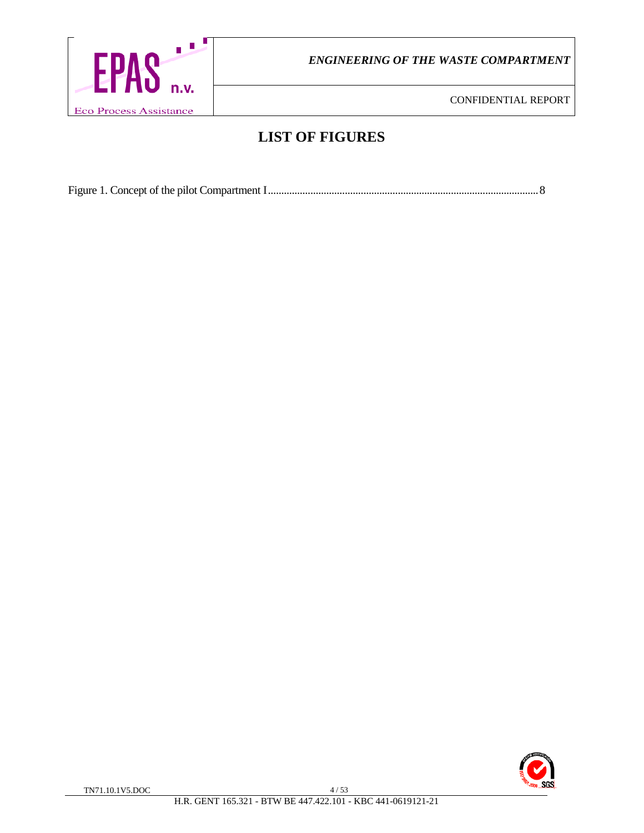

CONFIDENTIAL REPORT

# **LIST OF FIGURES**

Figure 1. Concept of the pilot Compartment I......................................................................................................8

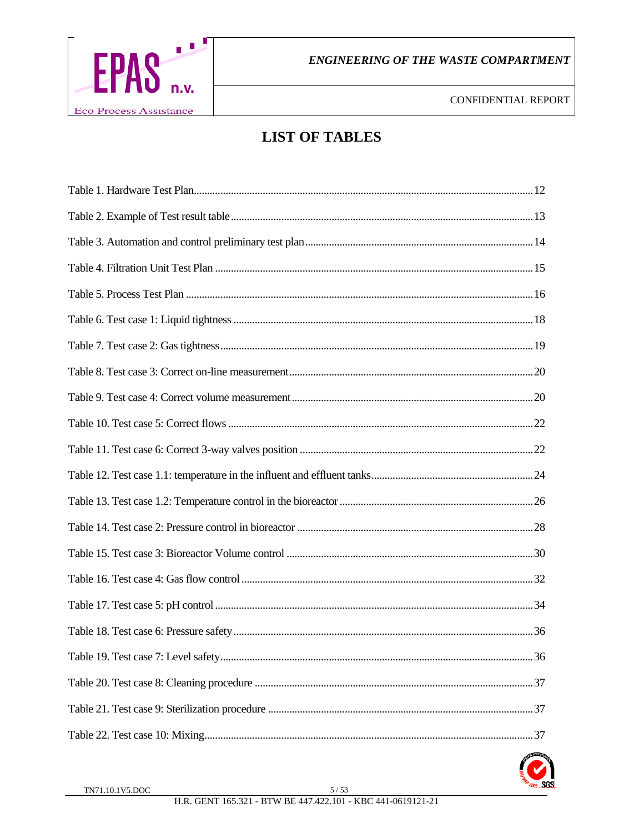

# **LIST OF TABLES**

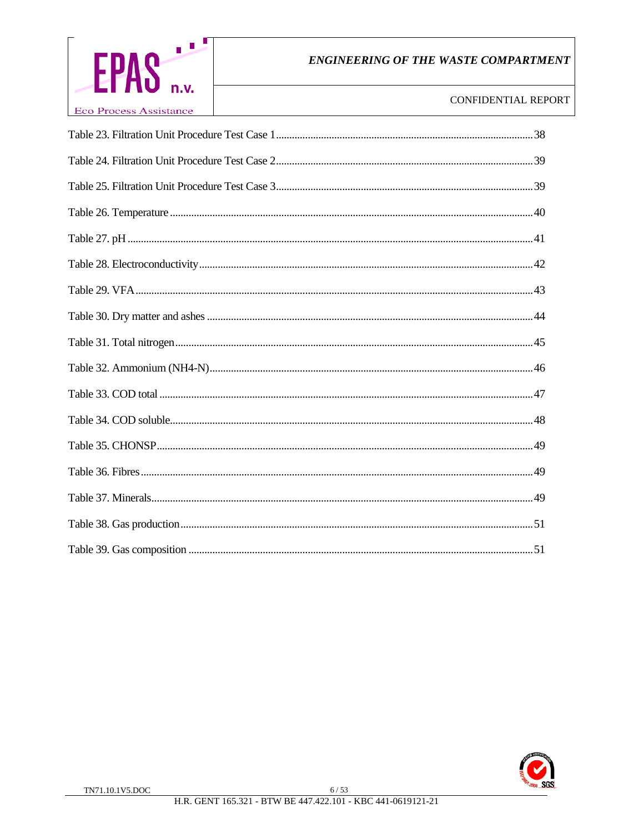

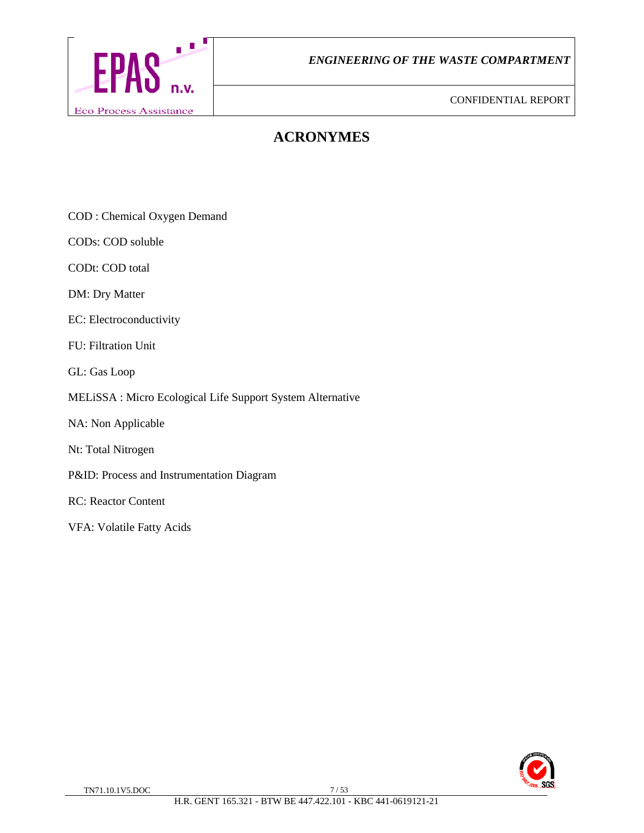

# **ACRONYMES**

COD : Chemical Oxygen Demand

CODs: COD soluble

CODt: COD total

DM: Dry Matter

EC: Electroconductivity

FU: Filtration Unit

GL: Gas Loop

#### MELiSSA : Micro Ecological Life Support System Alternative

- NA: Non Applicable
- Nt: Total Nitrogen
- P&ID: Process and Instrumentation Diagram

RC: Reactor Content

VFA: Volatile Fatty Acids

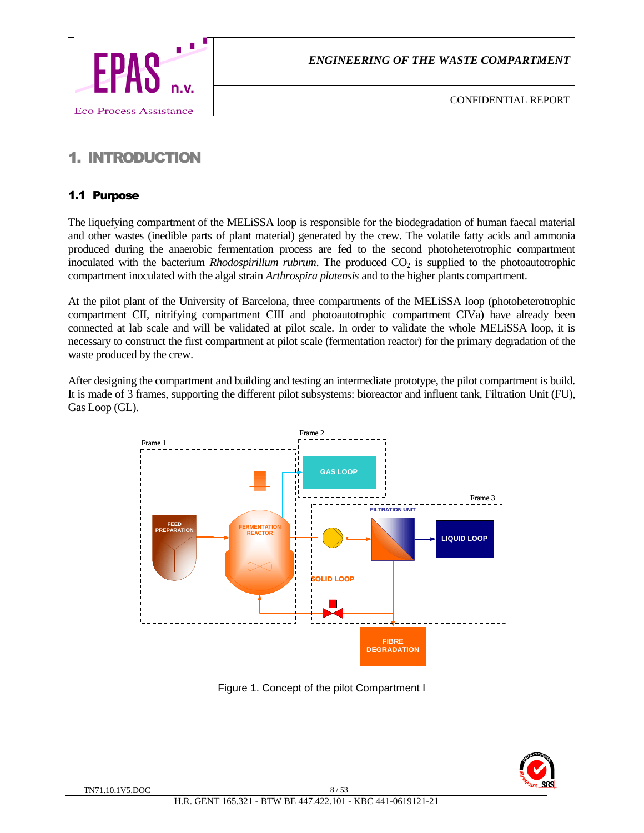

# 1. INTRODUCTION

# 1.1 Purpose

The liquefying compartment of the MELiSSA loop is responsible for the biodegradation of human faecal material and other wastes (inedible parts of plant material) generated by the crew. The volatile fatty acids and ammonia produced during the anaerobic fermentation process are fed to the second photoheterotrophic compartment inoculated with the bacterium *Rhodospirillum rubrum*. The produced  $CO<sub>2</sub>$  is supplied to the photoautotrophic compartment inoculated with the algal strain *Arthrospira platensis* and to the higher plants compartment.

At the pilot plant of the University of Barcelona, three compartments of the MELiSSA loop (photoheterotrophic compartment CII, nitrifying compartment CIII and photoautotrophic compartment CIVa) have already been connected at lab scale and will be validated at pilot scale. In order to validate the whole MELiSSA loop, it is necessary to construct the first compartment at pilot scale (fermentation reactor) for the primary degradation of the waste produced by the crew.

After designing the compartment and building and testing an intermediate prototype, the pilot compartment is build. It is made of 3 frames, supporting the different pilot subsystems: bioreactor and influent tank, Filtration Unit (FU), Gas Loop (GL).



Figure 1. Concept of the pilot Compartment I

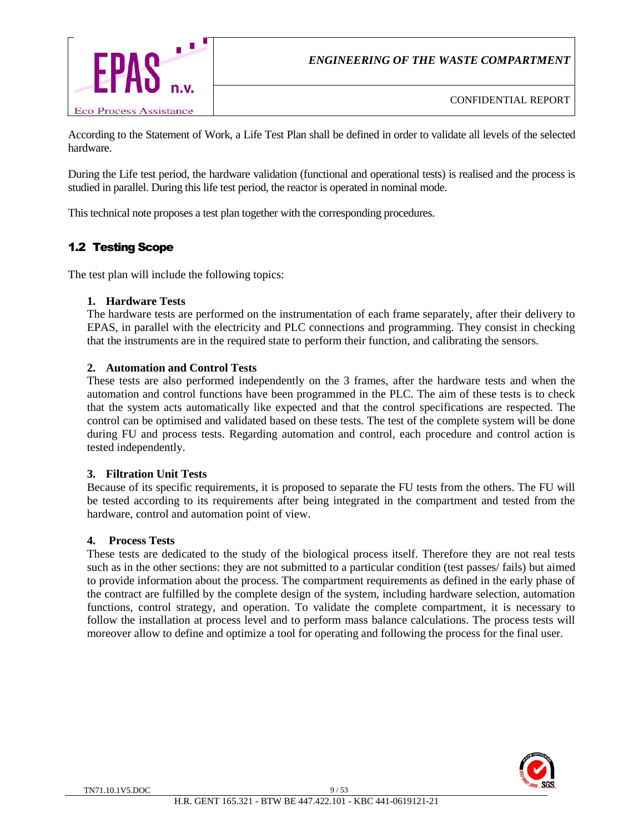

According to the Statement of Work, a Life Test Plan shall be defined in order to validate all levels of the selected hardware.

During the Life test period, the hardware validation (functional and operational tests) is realised and the process is studied in parallel. During this life test period, the reactor is operated in nominal mode.

This technical note proposes a test plan together with the corresponding procedures.

# 1.2 Testing Scope

The test plan will include the following topics:

#### **1. Hardware Tests**

The hardware tests are performed on the instrumentation of each frame separately, after their delivery to EPAS, in parallel with the electricity and PLC connections and programming. They consist in checking that the instruments are in the required state to perform their function, and calibrating the sensors.

#### **2. Automation and Control Tests**

These tests are also performed independently on the 3 frames, after the hardware tests and when the automation and control functions have been programmed in the PLC. The aim of these tests is to check that the system acts automatically like expected and that the control specifications are respected. The control can be optimised and validated based on these tests. The test of the complete system will be done during FU and process tests. Regarding automation and control, each procedure and control action is tested independently.

#### **3. Filtration Unit Tests**

Because of its specific requirements, it is proposed to separate the FU tests from the others. The FU will be tested according to its requirements after being integrated in the compartment and tested from the hardware, control and automation point of view.

#### **4. Process Tests**

These tests are dedicated to the study of the biological process itself. Therefore they are not real tests such as in the other sections: they are not submitted to a particular condition (test passes/ fails) but aimed to provide information about the process. The compartment requirements as defined in the early phase of the contract are fulfilled by the complete design of the system, including hardware selection, automation functions, control strategy, and operation. To validate the complete compartment, it is necessary to follow the installation at process level and to perform mass balance calculations. The process tests will moreover allow to define and optimize a tool for operating and following the process for the final user.

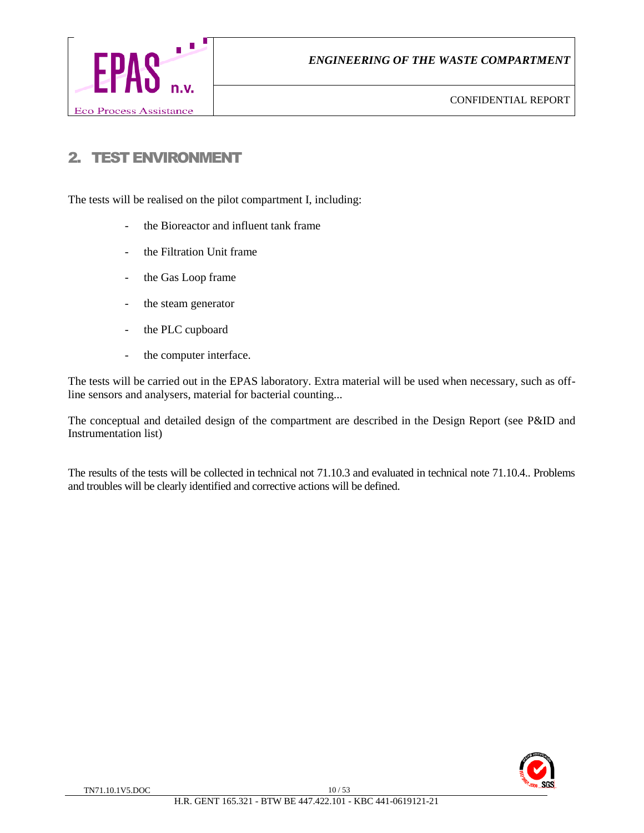

# 2. TEST ENVIRONMENT

The tests will be realised on the pilot compartment I, including:

- the Bioreactor and influent tank frame
- the Filtration Unit frame
- the Gas Loop frame
- the steam generator
- the PLC cupboard
- the computer interface.

The tests will be carried out in the EPAS laboratory. Extra material will be used when necessary, such as offline sensors and analysers, material for bacterial counting...

The conceptual and detailed design of the compartment are described in the Design Report (see P&ID and Instrumentation list)

The results of the tests will be collected in technical not 71.10.3 and evaluated in technical note 71.10.4.. Problems and troubles will be clearly identified and corrective actions will be defined.

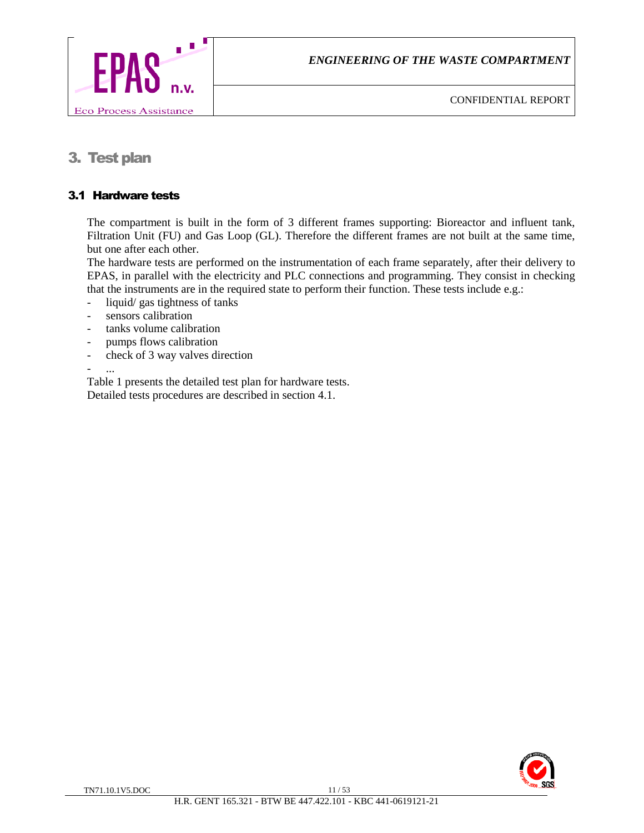

# 3. Test plan

# 3.1 Hardware tests

The compartment is built in the form of 3 different frames supporting: Bioreactor and influent tank, Filtration Unit (FU) and Gas Loop (GL). Therefore the different frames are not built at the same time, but one after each other.

The hardware tests are performed on the instrumentation of each frame separately, after their delivery to EPAS, in parallel with the electricity and PLC connections and programming. They consist in checking that the instruments are in the required state to perform their function. These tests include e.g.:

- liquid/ gas tightness of tanks
- sensors calibration
- tanks volume calibration
- pumps flows calibration
- check of 3 way valves direction

- ...

Table 1 presents the detailed test plan for hardware tests. Detailed tests procedures are described in section 4.1.

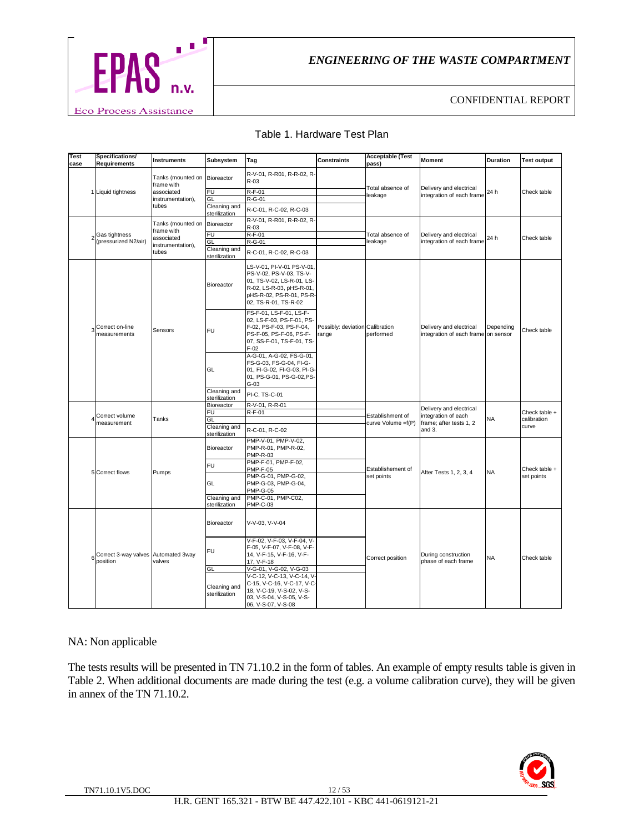

CONFIDENTIAL REPORT

| Test | Specifications/                                 |                                            |                               |                                                                                                                                                                  |                                          | <b>Acceptable (Test</b> |                                                                           |                 |                      |
|------|-------------------------------------------------|--------------------------------------------|-------------------------------|------------------------------------------------------------------------------------------------------------------------------------------------------------------|------------------------------------------|-------------------------|---------------------------------------------------------------------------|-----------------|----------------------|
| case | <b>Requirements</b>                             | <b>Instruments</b>                         | Subsystem                     | Tag                                                                                                                                                              | <b>Constraints</b>                       | pass)                   | <b>Moment</b>                                                             | <b>Duration</b> | <b>Test output</b>   |
|      |                                                 | Tanks (mounted on Bioreactor<br>frame with |                               | R-V-01, R-R01, R-R-02, R-<br>$R-03$                                                                                                                              |                                          | Total absence of        | Delivery and electrical                                                   |                 |                      |
|      | 1 Liquid tightness                              | associated                                 | FU                            | R-F-01                                                                                                                                                           |                                          | leakage                 | integration of each frame                                                 | 24 h            | Check table          |
|      |                                                 | instrumentation),                          | GL                            | R-G-01                                                                                                                                                           |                                          |                         |                                                                           |                 |                      |
|      |                                                 | tubes                                      | Cleaning and<br>sterilization | R-C-01, R-C-02, R-C-03                                                                                                                                           |                                          |                         |                                                                           |                 |                      |
|      |                                                 | Tanks (mounted on                          | Bioreactor                    | R-V-01, R-R01, R-R-02, R-<br>R-03                                                                                                                                |                                          |                         |                                                                           |                 |                      |
| 2    | Gas tightness                                   | frame with<br>associated                   | FU                            | $R-F-01$                                                                                                                                                         |                                          | Total absence of        | Delivery and electrical                                                   | 24 h            | Check table          |
|      | (pressurized N2/air)                            | instrumentation),                          | GL                            | R-G-01                                                                                                                                                           |                                          | leakage                 | integration of each frame                                                 |                 |                      |
|      |                                                 | tubes                                      | Cleaning and<br>sterilization | R-C-01, R-C-02, R-C-03                                                                                                                                           |                                          |                         |                                                                           |                 |                      |
|      |                                                 |                                            | Bioreactor                    | LS-V-01, PI-V-01 PS-V-01<br>PS-V-02, PS-V-03, TS-V-<br>01, TS-V-02, LS-R-01, LS-<br>R-02, LS-R-03, pHS-R-01,<br>pHS-R-02, PS-R-01, PS-R-<br>02, TS-R-01, TS-R-02 |                                          |                         | Delivery and electrical<br>integration of each frame on sensor            | Depending       | Check table          |
|      | Correct on-line<br>measurements                 | Sensors                                    | <b>FU</b>                     | FS-F-01, LS-F-01, LS-F-<br>02, LS-F-03, PS-F-01, PS-<br>F-02, PS-F-03, PS-F-04,<br>PS-F-05, PS-F-06, PS-F-<br>07, SS-F-01, TS-F-01, TS-<br>$F-02$                | Possibly: deviation Calibration<br>range | performed               |                                                                           |                 |                      |
|      |                                                 |                                            | GL                            | A-G-01, A-G-02, FS-G-01,<br>FS-G-03, FS-G-04, FI-G-<br>01, FI-G-02, FI-G-03, PI-G-<br>01, PS-G-01, PS-G-02, PS-<br>$G-03$                                        |                                          |                         |                                                                           |                 |                      |
|      |                                                 |                                            | Cleaning and<br>sterilization | PI-C, TS-C-01                                                                                                                                                    |                                          |                         |                                                                           |                 |                      |
|      |                                                 |                                            | Bioreactor                    | R-V-01, R-R-01                                                                                                                                                   |                                          |                         | Delivery and electrical<br>integration of each<br>frame; after tests 1, 2 |                 | Check table +        |
|      | Correct volume                                  |                                            | FU                            | $R-F-01$                                                                                                                                                         |                                          | Establishment of        |                                                                           |                 |                      |
|      | measurement                                     | Tanks                                      | GL                            |                                                                                                                                                                  |                                          | curve Volume =f(P)      |                                                                           | <b>NA</b>       | calibration<br>curve |
|      |                                                 |                                            | Cleaning and<br>sterilization | R-C-01, R-C-02                                                                                                                                                   |                                          |                         | and 3.                                                                    |                 |                      |
|      |                                                 |                                            | Bioreactor                    | PMP-V-01, PMP-V-02.<br>PMP-R-01, PMP-R-02,<br><b>PMP-R-03</b>                                                                                                    |                                          |                         |                                                                           |                 |                      |
|      |                                                 |                                            | FU                            | PMP-F-01, PMP-F-02,                                                                                                                                              |                                          |                         |                                                                           |                 |                      |
|      | 5 Correct flows                                 | Pumps                                      |                               | <b>PMP-F-05</b>                                                                                                                                                  |                                          | Establishement of       | After Tests 1, 2, 3, 4                                                    | <b>NA</b>       | Check table +        |
|      |                                                 |                                            |                               | PMP-G-01, PMP-G-02,                                                                                                                                              |                                          | set points              |                                                                           |                 | set points           |
|      |                                                 |                                            | GL                            | PMP-G-03, PMP-G-04,                                                                                                                                              |                                          |                         |                                                                           |                 |                      |
|      |                                                 |                                            | Cleaning and                  | <b>PMP-G-05</b><br>PMP-C-01, PMP-C02,                                                                                                                            |                                          |                         |                                                                           |                 |                      |
|      |                                                 |                                            | sterilization                 | <b>PMP-C-03</b>                                                                                                                                                  |                                          |                         |                                                                           |                 |                      |
|      |                                                 |                                            | Bioreactor                    | V-V-03, V-V-04                                                                                                                                                   |                                          |                         |                                                                           |                 |                      |
| 6    | Correct 3-way valves Automated 3way<br>position | valves                                     | FU                            | V-F-02, V-F-03, V-F-04, V-<br>F-05, V-F-07, V-F-08, V-F-<br>14, V-F-15, V-F-16, V-F-<br>17, V-F-18                                                               |                                          | Correct position        | During construction<br>phase of each frame                                | <b>NA</b>       | Check table          |
|      |                                                 |                                            | GL                            | V-G-01, V-G-02, V-G-03                                                                                                                                           |                                          |                         |                                                                           |                 |                      |
|      |                                                 |                                            | Cleaning and<br>sterilization | V-C-12, V-C-13, V-C-14, V-<br>C-15, V-C-16, V-C-17, V-C-<br>18, V-C-19, V-S-02, V-S-<br>03, V-S-04, V-S-05, V-S-<br>06, V-S-07, V-S-08                           |                                          |                         |                                                                           |                 |                      |

#### Table 1. Hardware Test Plan

#### NA: Non applicable

The tests results will be presented in TN 71.10.2 in the form of tables. An example of empty results table is given in Table 2. When additional documents are made during the test (e.g. a volume calibration curve), they will be given in annex of the TN 71.10.2.

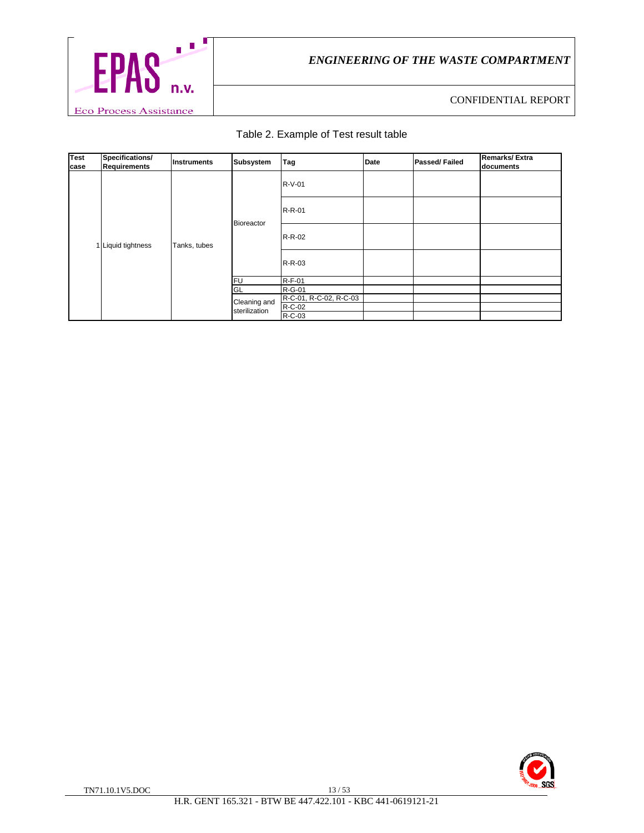

# Table 2. Example of Test result table

| <b>Test</b><br>case | Specifications/<br><b>Requirements</b> | Instruments  | Subsystem                     | Tag                              | Date | <b>Passed/Failed</b> | <b>Remarks/Extra</b><br>documents |
|---------------------|----------------------------------------|--------------|-------------------------------|----------------------------------|------|----------------------|-----------------------------------|
|                     | 1 Liquid tightness                     | Tanks, tubes | Bioreactor                    | R-V-01                           |      |                      |                                   |
|                     |                                        |              |                               | R-R-01                           |      |                      |                                   |
|                     |                                        |              |                               | R-R-02                           |      |                      |                                   |
|                     |                                        |              |                               | R-R-03                           |      |                      |                                   |
|                     |                                        |              | lfu.                          | $R-F-01$                         |      |                      |                                   |
|                     |                                        |              | GL                            | R-G-01                           |      |                      |                                   |
|                     |                                        |              | Cleaning and<br>sterilization | R-C-01, R-C-02, R-C-03<br>R-C-02 |      |                      |                                   |
|                     |                                        |              |                               | R-C-03                           |      |                      |                                   |

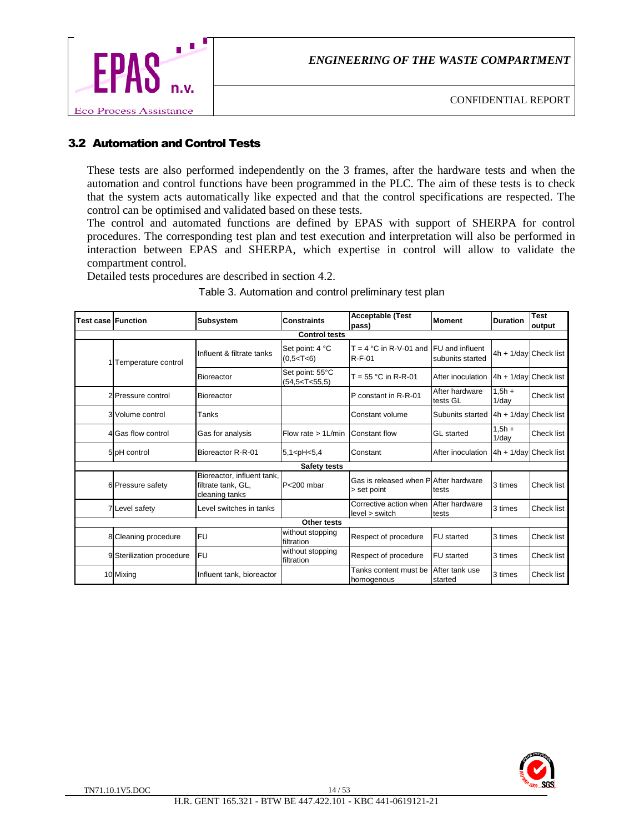



# 3.2 Automation and Control Tests

These tests are also performed independently on the 3 frames, after the hardware tests and when the automation and control functions have been programmed in the PLC. The aim of these tests is to check that the system acts automatically like expected and that the control specifications are respected. The control can be optimised and validated based on these tests.

The control and automated functions are defined by EPAS with support of SHERPA for control procedures. The corresponding test plan and test execution and interpretation will also be performed in interaction between EPAS and SHERPA, which expertise in control will allow to validate the compartment control.

Detailed tests procedures are described in section 4.2.

| <b>Test case Function</b> |                           | Subsystem                                                          | <b>Constraints</b>                   | <b>Acceptable (Test</b><br>pass)                           | <b>Moment</b>              | <b>Duration</b>           | <b>Test</b><br>output |
|---------------------------|---------------------------|--------------------------------------------------------------------|--------------------------------------|------------------------------------------------------------|----------------------------|---------------------------|-----------------------|
|                           |                           |                                                                    | <b>Control tests</b>                 |                                                            |                            |                           |                       |
|                           | Temperature control       | Influent & filtrate tanks                                          | Set point: 4 °C<br>$(0,5<$ T<6)      | $T = 4 °C$ in R-V-01 and IFU and influent<br><b>R-F-01</b> | subunits started           | $4h + 1/day$ Check list   |                       |
|                           |                           | <b>Bioreactor</b>                                                  | Set point: 55°C<br>(54.5 < T < 55.5) | $T = 55 °C$ in R-R-01                                      | After inoculation          | 4h + 1/day Check list     |                       |
|                           | 2 Pressure control        | <b>Bioreactor</b>                                                  |                                      | P constant in R-R-01                                       | After hardware<br>tests GL | $1.5h +$<br>$1$ /day      | <b>Check list</b>     |
|                           | 3 Volume control          | Tanks                                                              |                                      | Constant volume                                            | Subunits started           | $4h + 1$ /day Check list  |                       |
|                           | 4 Gas flow control        | Gas for analysis                                                   | Flow rate $> 1$ L/min                | <b>Constant flow</b>                                       | <b>GL</b> started          | $1.5h +$<br>1/day         | <b>Check list</b>     |
|                           | 5 <sup>DH</sup> control   | Bioreactor R-R-01                                                  | $5,1$ <ph <="" <math="">5,4</ph>     | Constant                                                   | After inoculation          | $ 4h + 1/day $ Check list |                       |
|                           |                           |                                                                    | <b>Safety tests</b>                  |                                                            |                            |                           |                       |
|                           | 6 Pressure safety         | Bioreactor, influent tank,<br>filtrate tank, GL,<br>cleaning tanks | $P200$ mbar                          | Gas is released when PlAfter hardware<br>> set point       | tests                      | 3 times                   | Check list            |
|                           | 7 Level safety            | Level switches in tanks                                            |                                      | Corrective action when<br>level > switch                   | After hardware<br>tests    | 3 times                   | <b>Check list</b>     |
|                           |                           |                                                                    | Other tests                          |                                                            |                            |                           |                       |
|                           | 8 Cleaning procedure      | <b>FU</b>                                                          | without stopping<br>filtration       | Respect of procedure                                       | <b>FU</b> started          | 3 times                   | <b>Check list</b>     |
|                           | 9 Sterilization procedure | <b>FU</b>                                                          | without stopping<br>filtration       | Respect of procedure                                       | <b>FU</b> started          | 3 times                   | <b>Check list</b>     |
|                           | 10 Mixing                 | Influent tank, bioreactor                                          |                                      | Tanks content must be<br>homogenous                        | After tank use<br>started  | 3 times                   | <b>Check list</b>     |

Table 3. Automation and control preliminary test plan

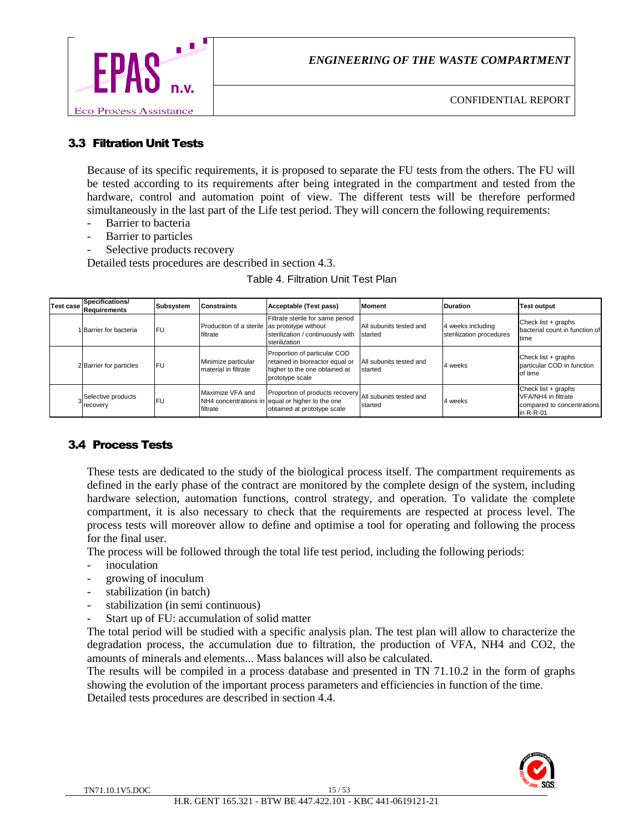

# 3.3 Filtration Unit Tests

Because of its specific requirements, it is proposed to separate the FU tests from the others. The FU will be tested according to its requirements after being integrated in the compartment and tested from the hardware, control and automation point of view. The different tests will be therefore performed simultaneously in the last part of the Life test period. They will concern the following requirements:

- Barrier to bacteria
- Barrier to particles
- Selective products recovery

Detailed tests procedures are described in section 4.3.

| Table 4. Filtration Unit Test Plan |  |
|------------------------------------|--|
|                                    |  |

| <b>Test case</b> | Specifications/<br>Requirements | Subsystem | <b>Constraints</b>                                       | Acceptable (Test pass)                                                                                              | <b>Moment</b>                      | <b>IDuration</b>                              | <b>Test output</b>                                                                                |
|------------------|---------------------------------|-----------|----------------------------------------------------------|---------------------------------------------------------------------------------------------------------------------|------------------------------------|-----------------------------------------------|---------------------------------------------------------------------------------------------------|
|                  | 1 Barrier for bacteria          | lFU       | Production of a sterile as prototype without<br>filtrate | Filtrate sterile for same period<br>sterilization / continuously with<br>sterilization                              | All subunits tested and<br>started | 4 weeks including<br>sterilization procedures | Check list + graphs<br>bacterial count in function of<br>Itime                                    |
|                  | 2 Barrier for particles         | lFU       | Minimize particular<br>material in filtrate              | Proportion of particular COD<br>retained in bioreactor equal or<br>higher to the one obtained at<br>prototype scale | All subunits tested and<br>started | 4 weeks                                       | Check list + graphs<br>particular COD in function<br>of time                                      |
|                  | Selective products<br>recovery  | IFU       | Maximize VFA and<br>filtrate                             | Proportion of products recovery<br>NH4 concentrations in equal or higher to the one<br>obtained at prototype scale  | All subunits tested and<br>started | 4 weeks                                       | Check list + graphs<br><b>IVFA/NH4</b> in filtrate<br>compared to concentrations<br>$\ln R$ -R-01 |

### 3.4 Process Tests

These tests are dedicated to the study of the biological process itself. The compartment requirements as defined in the early phase of the contract are monitored by the complete design of the system, including hardware selection, automation functions, control strategy, and operation. To validate the complete compartment, it is also necessary to check that the requirements are respected at process level. The process tests will moreover allow to define and optimise a tool for operating and following the process for the final user.

The process will be followed through the total life test period, including the following periods:

- inoculation
- growing of inoculum
- stabilization (in batch)
- stabilization (in semi continuous)
- Start up of FU: accumulation of solid matter

The total period will be studied with a specific analysis plan. The test plan will allow to characterize the degradation process, the accumulation due to filtration, the production of VFA, NH4 and CO2, the amounts of minerals and elements... Mass balances will also be calculated.

The results will be compiled in a process database and presented in TN 71.10.2 in the form of graphs showing the evolution of the important process parameters and efficiencies in function of the time. Detailed tests procedures are described in section 4.4.

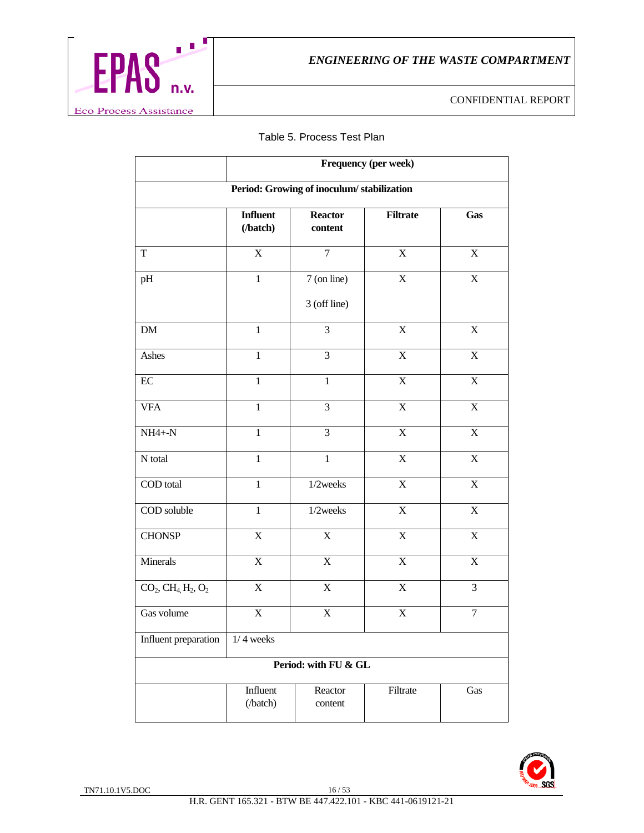

#### Table 5. Process Test Plan

|                                     | Frequency (per week)        |                                           |                           |                         |  |  |  |  |
|-------------------------------------|-----------------------------|-------------------------------------------|---------------------------|-------------------------|--|--|--|--|
|                                     |                             | Period: Growing of inoculum/stabilization |                           |                         |  |  |  |  |
|                                     | <b>Influent</b><br>(/batch) | <b>Reactor</b><br>content                 | <b>Filtrate</b>           | Gas                     |  |  |  |  |
| T                                   | $\mathbf X$                 | $\overline{7}$                            | X                         | $\mathbf X$             |  |  |  |  |
| pH                                  | $\mathbf{1}$                | 7 (on line)<br>3 (off line)               | $\mathbf X$               | $\mathbf X$             |  |  |  |  |
| DM                                  | $\mathbf{1}$                | 3                                         | $\mathbf X$               | $\mathbf X$             |  |  |  |  |
| Ashes                               | $\mathbf{1}$                | 3                                         | $\boldsymbol{\mathrm{X}}$ | $\mathbf X$             |  |  |  |  |
| $\rm EC$                            | $\mathbf{1}$                | $\mathbf{1}$                              | $\mathbf X$               | $\mathbf X$             |  |  |  |  |
| <b>VFA</b>                          | $\mathbf{1}$                | 3                                         | $\overline{X}$            | $\mathbf X$             |  |  |  |  |
| $NH4 + -N$                          | $\mathbf{1}$                | 3                                         | $\mathbf X$               | $\mathbf X$             |  |  |  |  |
| N total                             | $\mathbf{1}$                | $\mathbf{1}$                              | $\overline{X}$            | $\mathbf X$             |  |  |  |  |
| COD total                           | $\mathbf{1}$                | $1/2$ weeks                               | $\overline{X}$            | $\overline{\mathbf{X}}$ |  |  |  |  |
| COD soluble                         | $\mathbf{1}$                | $1/2$ weeks                               | $\mathbf X$               | $\mathbf X$             |  |  |  |  |
| <b>CHONSP</b>                       | $\mathbf X$                 | $\mathbf X$                               | $\mathbf X$               | $\mathbf X$             |  |  |  |  |
| Minerals                            | $\mathbf X$                 | $\mathbf X$                               | $\overline{X}$            | $\mathbf X$             |  |  |  |  |
| $CO_2$ , $CH_4$ , $H_2$ , $O_2$     | X                           | $\mathbf X$                               | X                         | 3                       |  |  |  |  |
| Gas volume                          | $\mathbf X$                 | X                                         | $\mathbf X$               | 7                       |  |  |  |  |
| Influent preparation<br>$1/4$ weeks |                             |                                           |                           |                         |  |  |  |  |
|                                     |                             | Period: with FU & GL                      |                           |                         |  |  |  |  |
|                                     | Influent<br>(/batch)        | Reactor<br>content                        | Filtrate                  | Gas                     |  |  |  |  |

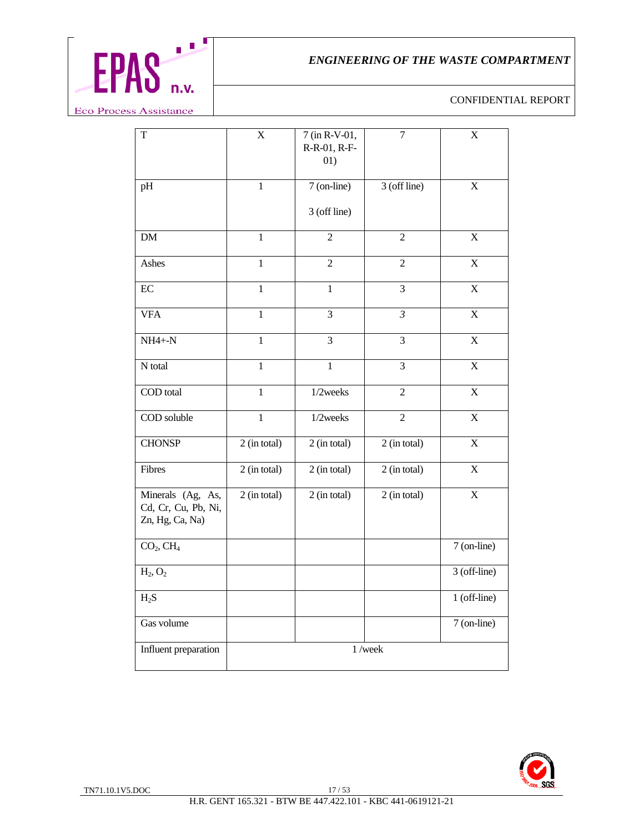

| $\mathbf T$                                                 | $\mathbf X$    | 7 (in R-V-01,<br>R-R-01, R-F-<br>01) | $\overline{7}$ | X            |
|-------------------------------------------------------------|----------------|--------------------------------------|----------------|--------------|
| pH                                                          | $\overline{1}$ | 7 (on-line)<br>3 (off line)          | 3 (off line)   | $\mathbf X$  |
| ${\rm DM}$                                                  | $\mathbf{1}$   | $\overline{2}$                       | $\overline{2}$ | X            |
| Ashes                                                       | 1              | $\overline{c}$                       | $\mathfrak 2$  | X            |
| EC                                                          | $\mathbf{1}$   | $\mathbf{1}$                         | 3              | $\mathbf X$  |
| <b>VFA</b>                                                  | $\mathbf{1}$   | 3                                    | $\mathfrak{Z}$ | $\mathbf X$  |
| $NH4 + -N$                                                  | $\mathbf{1}$   | 3                                    | 3              | X            |
| N total                                                     | 1              | 1                                    | 3              | X            |
| COD total                                                   | $\mathbf{1}$   | 1/2weeks                             | $\overline{c}$ | X            |
| COD soluble                                                 | $\mathbf{1}$   | 1/2weeks                             | $\overline{2}$ | $\mathbf X$  |
| <b>CHONSP</b>                                               | 2 (in total)   | 2 (in total)                         | 2 (in total)   | X            |
| Fibres                                                      | 2 (in total)   | 2 (in total)                         | 2 (in total)   | X            |
| Minerals (Ag, As,<br>Cd, Cr, Cu, Pb, Ni,<br>Zn, Hg, Ca, Na) | 2 (in total)   | 2 (in total)                         | 2 (in total)   | X            |
| CO <sub>2</sub> , CH <sub>4</sub>                           |                |                                      |                | 7 (on-line)  |
| $H_2$ , $O_2$                                               |                |                                      |                | 3 (off-line) |
| $H_2S$                                                      |                |                                      |                | 1 (off-line) |
| Gas volume                                                  |                |                                      |                | 7 (on-line)  |
| Influent preparation                                        |                |                                      | $1$ /week      |              |

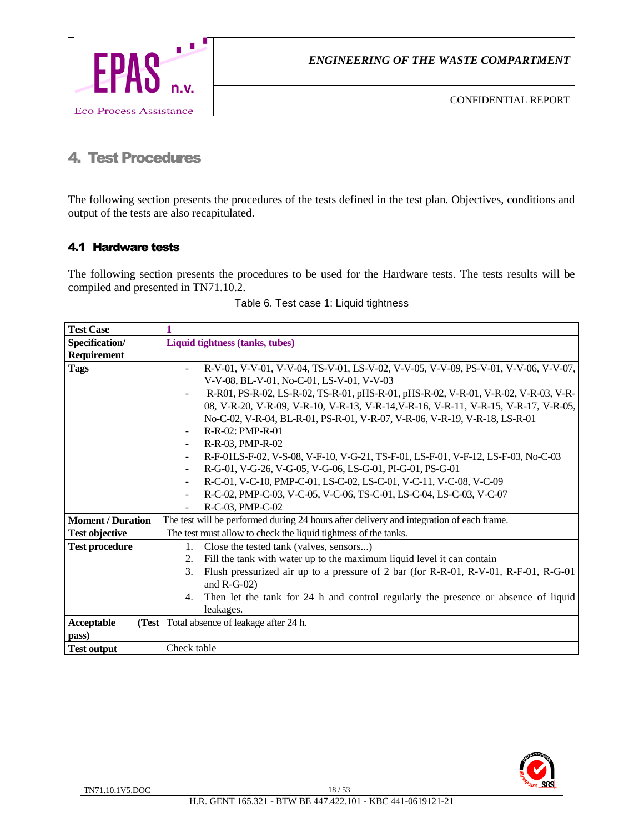

# 4. Test Procedures

The following section presents the procedures of the tests defined in the test plan. Objectives, conditions and output of the tests are also recapitulated.

# 4.1 Hardware tests

The following section presents the procedures to be used for the Hardware tests. The tests results will be compiled and presented in TN71.10.2.

| <b>Test Case</b>         |                                                                                           |
|--------------------------|-------------------------------------------------------------------------------------------|
| Specification/           | Liquid tightness (tanks, tubes)                                                           |
| <b>Requirement</b>       |                                                                                           |
| <b>Tags</b>              | R-V-01, V-V-01, V-V-04, TS-V-01, LS-V-02, V-V-05, V-V-09, PS-V-01, V-V-06, V-V-07,        |
|                          | V-V-08, BL-V-01, No-C-01, LS-V-01, V-V-03                                                 |
|                          | R-R01, PS-R-02, LS-R-02, TS-R-01, pHS-R-01, pHS-R-02, V-R-01, V-R-02, V-R-03, V-R-        |
|                          | 08, V-R-20, V-R-09, V-R-10, V-R-13, V-R-14, V-R-16, V-R-11, V-R-15, V-R-17, V-R-05,       |
|                          | No-C-02, V-R-04, BL-R-01, PS-R-01, V-R-07, V-R-06, V-R-19, V-R-18, LS-R-01                |
|                          | R-R-02: PMP-R-01                                                                          |
|                          | R-R-03, PMP-R-02                                                                          |
|                          | R-F-01LS-F-02, V-S-08, V-F-10, V-G-21, TS-F-01, LS-F-01, V-F-12, LS-F-03, No-C-03         |
|                          | R-G-01, V-G-26, V-G-05, V-G-06, LS-G-01, PI-G-01, PS-G-01                                 |
|                          | R-C-01, V-C-10, PMP-C-01, LS-C-02, LS-C-01, V-C-11, V-C-08, V-C-09                        |
|                          | R-C-02, PMP-C-03, V-C-05, V-C-06, TS-C-01, LS-C-04, LS-C-03, V-C-07<br>$\blacksquare$     |
|                          | R-C-03, PMP-C-02                                                                          |
| <b>Moment / Duration</b> | The test will be performed during 24 hours after delivery and integration of each frame.  |
| <b>Test objective</b>    | The test must allow to check the liquid tightness of the tanks.                           |
| <b>Test procedure</b>    | Close the tested tank (valves, sensors)<br>1.                                             |
|                          | Fill the tank with water up to the maximum liquid level it can contain<br>2.              |
|                          | Flush pressurized air up to a pressure of 2 bar (for R-R-01, R-V-01, R-F-01, R-G-01<br>3. |
|                          | and $R-G-02$ )                                                                            |
|                          | Then let the tank for 24 h and control regularly the presence or absence of liquid<br>4.  |
|                          | leakages.                                                                                 |
| Acceptable               | (Test Total absence of leakage after 24 h.                                                |
| pass)                    |                                                                                           |
| <b>Test output</b>       | Check table                                                                               |

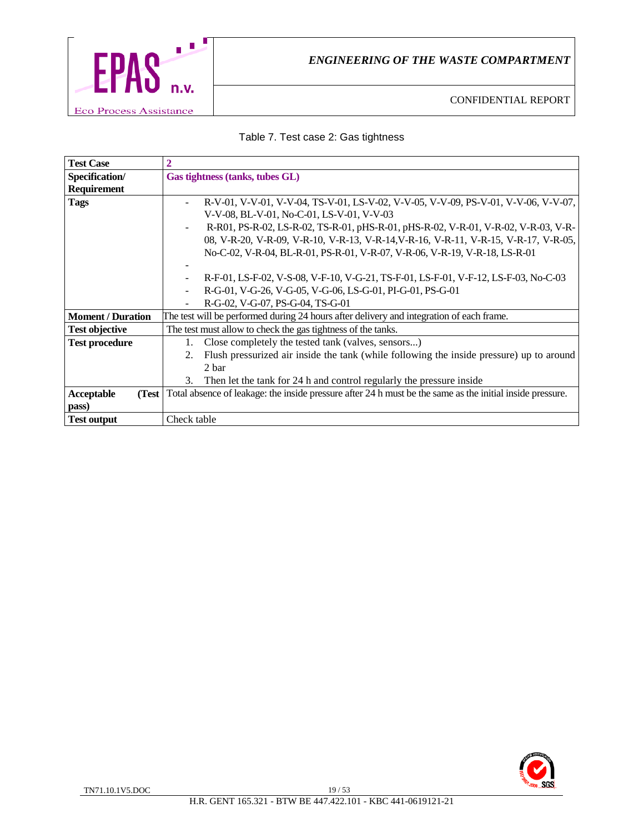

# Table 7. Test case 2: Gas tightness

| <b>Test Case</b>         |                                                                                                                          |  |
|--------------------------|--------------------------------------------------------------------------------------------------------------------------|--|
| Specification/           | Gas tightness (tanks, tubes GL)                                                                                          |  |
| Requirement              |                                                                                                                          |  |
| <b>Tags</b>              | R-V-01, V-V-01, V-V-04, TS-V-01, LS-V-02, V-V-05, V-V-09, PS-V-01, V-V-06, V-V-07,                                       |  |
|                          | V-V-08, BL-V-01, No-C-01, LS-V-01, V-V-03                                                                                |  |
|                          | R-R01, PS-R-02, LS-R-02, TS-R-01, pHS-R-01, pHS-R-02, V-R-01, V-R-02, V-R-03, V-R-                                       |  |
|                          | 08, V-R-20, V-R-09, V-R-10, V-R-13, V-R-14, V-R-16, V-R-11, V-R-15, V-R-17, V-R-05,                                      |  |
|                          | No-C-02, V-R-04, BL-R-01, PS-R-01, V-R-07, V-R-06, V-R-19, V-R-18, LS-R-01                                               |  |
|                          |                                                                                                                          |  |
|                          | R-F-01, LS-F-02, V-S-08, V-F-10, V-G-21, TS-F-01, LS-F-01, V-F-12, LS-F-03, No-C-03                                      |  |
|                          | R-G-01, V-G-26, V-G-05, V-G-06, LS-G-01, PI-G-01, PS-G-01                                                                |  |
|                          | R-G-02, V-G-07, PS-G-04, TS-G-01                                                                                         |  |
| <b>Moment / Duration</b> | The test will be performed during 24 hours after delivery and integration of each frame.                                 |  |
| <b>Test objective</b>    | The test must allow to check the gas tightness of the tanks.                                                             |  |
| <b>Test procedure</b>    | Close completely the tested tank (valves, sensors)<br>1.                                                                 |  |
|                          | Flush pressurized air inside the tank (while following the inside pressure) up to around<br>2.                           |  |
|                          | 2 bar                                                                                                                    |  |
|                          | Then let the tank for 24 h and control regularly the pressure inside<br>3.                                               |  |
| <b>Acceptable</b>        | <b>(Test</b> ) Total absence of leakage: the inside pressure after 24 h must be the same as the initial inside pressure. |  |
| pass)                    |                                                                                                                          |  |
| <b>Test output</b>       | Check table                                                                                                              |  |

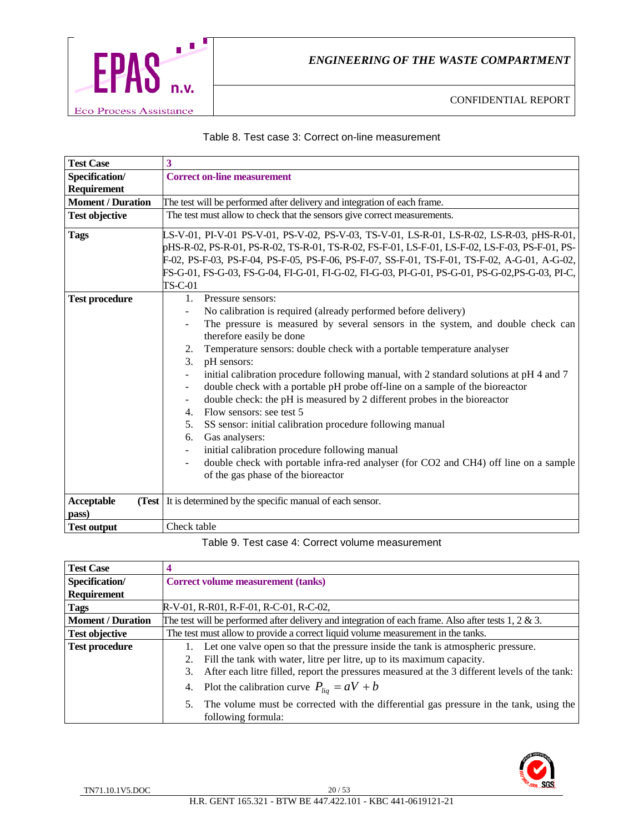

#### Table 8. Test case 3: Correct on-line measurement

| <b>Test Case</b>         | 3                                                                                                                |
|--------------------------|------------------------------------------------------------------------------------------------------------------|
| Specification/           | <b>Correct on-line measurement</b>                                                                               |
| Requirement              |                                                                                                                  |
| <b>Moment / Duration</b> | The test will be performed after delivery and integration of each frame.                                         |
| <b>Test objective</b>    | The test must allow to check that the sensors give correct measurements.                                         |
| <b>Tags</b>              | LS-V-01, PI-V-01 PS-V-01, PS-V-02, PS-V-03, TS-V-01, LS-R-01, LS-R-02, LS-R-03, pHS-R-01,                        |
|                          | pHS-R-02, PS-R-01, PS-R-02, TS-R-01, TS-R-02, FS-F-01, LS-F-01, LS-F-02, LS-F-03, PS-F-01, PS-                   |
|                          | F-02, PS-F-03, PS-F-04, PS-F-05, PS-F-06, PS-F-07, SS-F-01, TS-F-01, TS-F-02, A-G-01, A-G-02,                    |
|                          | FS-G-01, FS-G-03, FS-G-04, FI-G-01, FI-G-02, FI-G-03, PI-G-01, PS-G-01, PS-G-02,PS-G-03, PI-C,                   |
|                          | TS-C-01                                                                                                          |
| <b>Test procedure</b>    | 1 <sub>1</sub><br>Pressure sensors:                                                                              |
|                          | No calibration is required (already performed before delivery)                                                   |
|                          | The pressure is measured by several sensors in the system, and double check can                                  |
|                          | therefore easily be done                                                                                         |
|                          | Temperature sensors: double check with a portable temperature analyser<br>2.                                     |
|                          | pH sensors:<br>3.                                                                                                |
|                          | initial calibration procedure following manual, with 2 standard solutions at pH 4 and 7                          |
|                          | double check with a portable pH probe off-line on a sample of the bioreactor<br>$\overline{\phantom{a}}$         |
|                          | double check: the pH is measured by 2 different probes in the bioreactor<br>$\overline{\phantom{a}}$             |
|                          | Flow sensors: see test 5<br>4.                                                                                   |
|                          | SS sensor: initial calibration procedure following manual<br>5.                                                  |
|                          | Gas analysers:<br>6.                                                                                             |
|                          | initial calibration procedure following manual                                                                   |
|                          | double check with portable infra-red analyser (for CO2 and CH4) off line on a sample<br>$\overline{\phantom{a}}$ |
|                          | of the gas phase of the bioreactor                                                                               |
|                          |                                                                                                                  |
| Acceptable               | (Test It is determined by the specific manual of each sensor.                                                    |
| pass)                    |                                                                                                                  |
| <b>Test output</b>       | Check table                                                                                                      |

Table 9. Test case 4: Correct volume measurement

| <b>Test Case</b>         |                                                                                                         |  |
|--------------------------|---------------------------------------------------------------------------------------------------------|--|
| Specification/           | Correct volume measurement (tanks)                                                                      |  |
| <b>Requirement</b>       |                                                                                                         |  |
| Tags                     | R-V-01, R-R01, R-F-01, R-C-01, R-C-02,                                                                  |  |
| <b>Moment / Duration</b> | The test will be performed after delivery and integration of each frame. Also after tests $1, 2 \& 3$ . |  |
| <b>Test objective</b>    | The test must allow to provide a correct liquid volume measurement in the tanks.                        |  |
| <b>Test procedure</b>    | Let one valve open so that the pressure inside the tank is atmospheric pressure.                        |  |
|                          | Fill the tank with water, litre per litre, up to its maximum capacity.<br>2.                            |  |
|                          | After each litre filled, report the pressures measured at the 3 different levels of the tank:<br>3.     |  |
|                          | 4. Plot the calibration curve $P_{liq} = aV + b$                                                        |  |
|                          | The volume must be corrected with the differential gas pressure in the tank, using the<br>5.            |  |
|                          | following formula:                                                                                      |  |

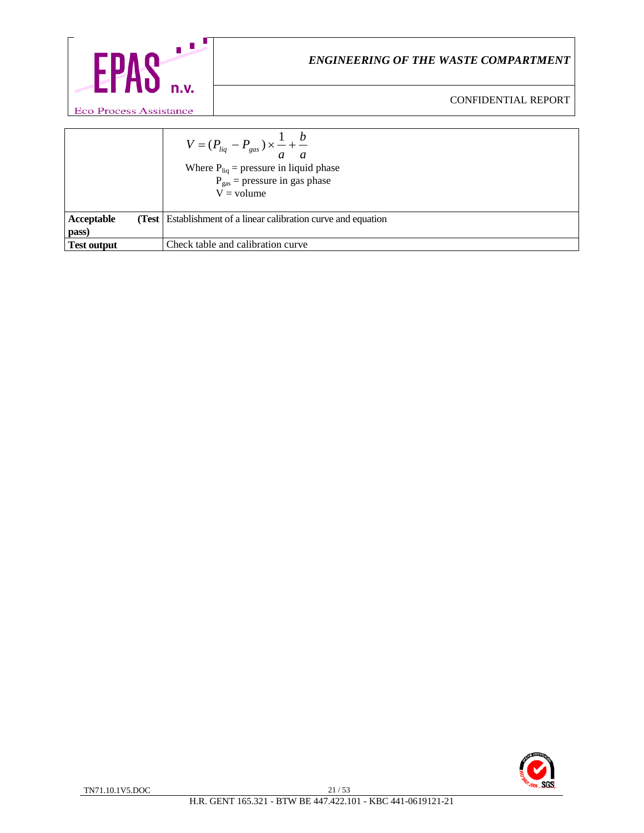

|                            | $V = (P_{liq} - P_{gas}) \times \frac{1}{a} + \frac{b}{a}$<br>Where $P_{liq}$ = pressure in liquid phase<br>$P_{gas}$ = pressure in gas phase<br>$V =$ volume |
|----------------------------|---------------------------------------------------------------------------------------------------------------------------------------------------------------|
| <b>Acceptable</b><br>(Test | Establishment of a linear calibration curve and equation                                                                                                      |
| pass)                      |                                                                                                                                                               |
| Test output                | Check table and calibration curve                                                                                                                             |

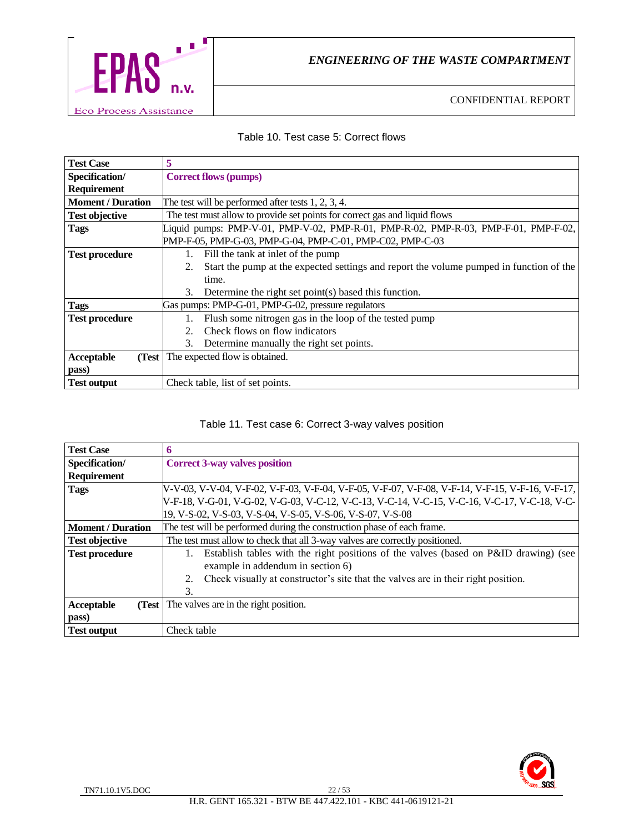

#### Table 10. Test case 5: Correct flows

| <b>Test Case</b>         | 5                                                                                             |  |
|--------------------------|-----------------------------------------------------------------------------------------------|--|
| Specification/           | <b>Correct flows (pumps)</b>                                                                  |  |
| Requirement              |                                                                                               |  |
| <b>Moment / Duration</b> | The test will be performed after tests $1, 2, 3, 4$ .                                         |  |
| <b>Test objective</b>    | The test must allow to provide set points for correct gas and liquid flows                    |  |
| <b>Tags</b>              | Liquid pumps: PMP-V-01, PMP-V-02, PMP-R-01, PMP-R-02, PMP-R-03, PMP-F-01, PMP-F-02,           |  |
|                          | PMP-F-05, PMP-G-03, PMP-G-04, PMP-C-01, PMP-C02, PMP-C-03                                     |  |
| <b>Test procedure</b>    | Fill the tank at inlet of the pump<br>1.                                                      |  |
|                          | Start the pump at the expected settings and report the volume pumped in function of the<br>2. |  |
|                          | time.                                                                                         |  |
|                          | 3.<br>Determine the right set point(s) based this function.                                   |  |
| <b>Tags</b>              | Gas pumps: PMP-G-01, PMP-G-02, pressure regulators                                            |  |
| <b>Test procedure</b>    | Flush some nitrogen gas in the loop of the tested pump<br>1.                                  |  |
|                          | Check flows on flow indicators<br>$2_{-}$                                                     |  |
|                          | Determine manually the right set points.<br>3.                                                |  |
| Acceptable<br>(Test)     | The expected flow is obtained.                                                                |  |
| pass)                    |                                                                                               |  |
| <b>Test output</b>       | Check table, list of set points.                                                              |  |

# Table 11. Test case 6: Correct 3-way valves position

| <b>Test Case</b>         | n                                                                                               |  |
|--------------------------|-------------------------------------------------------------------------------------------------|--|
| Specification/           | <b>Correct 3-way valves position</b>                                                            |  |
| <b>Requirement</b>       |                                                                                                 |  |
| <b>Tags</b>              | V-V-03, V-V-04, V-F-02, V-F-03, V-F-04, V-F-05, V-F-07, V-F-08, V-F-14, V-F-15, V-F-16, V-F-17, |  |
|                          | V-F-18, V-G-01, V-G-02, V-G-03, V-C-12, V-C-13, V-C-14, V-C-15, V-C-16, V-C-17, V-C-18, V-C-    |  |
|                          | 19, V-S-02, V-S-03, V-S-04, V-S-05, V-S-06, V-S-07, V-S-08                                      |  |
| <b>Moment / Duration</b> | The test will be performed during the construction phase of each frame.                         |  |
| <b>Test objective</b>    | The test must allow to check that all 3-way valves are correctly positioned.                    |  |
| <b>Test procedure</b>    | Establish tables with the right positions of the valves (based on P&ID drawing) (see            |  |
|                          | example in addendum in section 6)                                                               |  |
|                          | Check visually at constructor's site that the valves are in their right position.<br>2.         |  |
|                          | 3.                                                                                              |  |
| Acceptable<br>(Test      | The valves are in the right position.                                                           |  |
| pass)                    |                                                                                                 |  |
| <b>Test output</b>       | Check table                                                                                     |  |

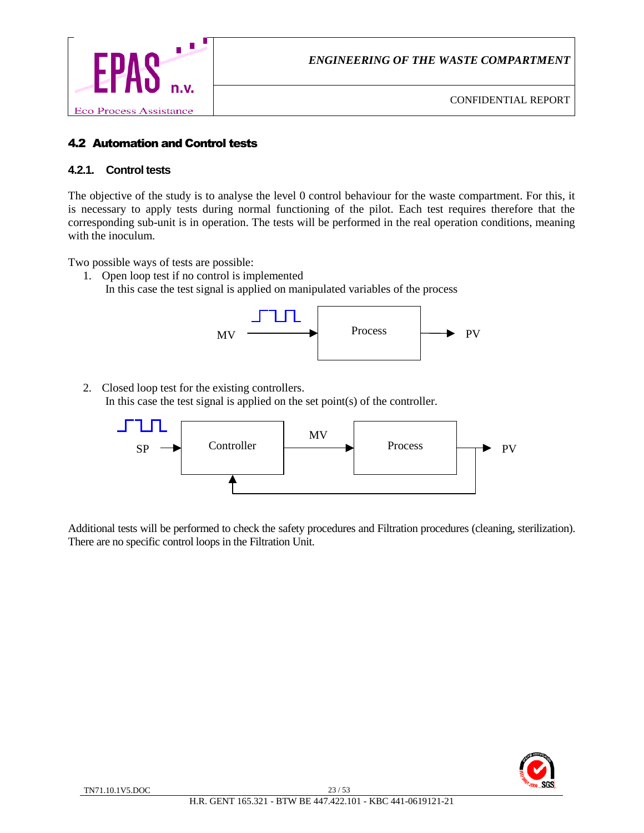

# 4.2 Automation and Control tests

#### **4.2.1. Control tests**

The objective of the study is to analyse the level 0 control behaviour for the waste compartment. For this, it is necessary to apply tests during normal functioning of the pilot. Each test requires therefore that the corresponding sub-unit is in operation. The tests will be performed in the real operation conditions, meaning with the inoculum.

Two possible ways of tests are possible:

1. Open loop test if no control is implemented In this case the test signal is applied on manipulated variables of the process



2. Closed loop test for the existing controllers. In this case the test signal is applied on the set point(s) of the controller.



Additional tests will be performed to check the safety procedures and Filtration procedures (cleaning, sterilization). There are no specific control loops in the Filtration Unit.

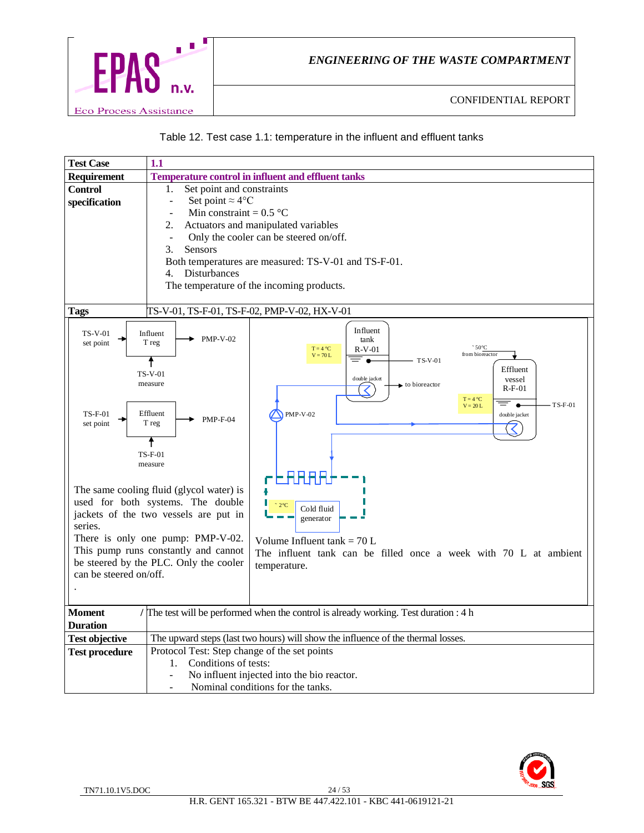



| <b>Test Case</b>                                                                                                                                                                                                                                                                                                                                                                                                                                            | 1.1                                                                                                                                                                                                                                                             |
|-------------------------------------------------------------------------------------------------------------------------------------------------------------------------------------------------------------------------------------------------------------------------------------------------------------------------------------------------------------------------------------------------------------------------------------------------------------|-----------------------------------------------------------------------------------------------------------------------------------------------------------------------------------------------------------------------------------------------------------------|
| <b>Requirement</b>                                                                                                                                                                                                                                                                                                                                                                                                                                          | <b>Temperature control in influent and effluent tanks</b>                                                                                                                                                                                                       |
| <b>Control</b><br>specification                                                                                                                                                                                                                                                                                                                                                                                                                             | Set point and constraints<br>1.<br>Set point $\approx 4$ °C<br>$\Box$<br>Min constraint = $0.5$ °C<br>$\overline{a}$<br>2.<br>Actuators and manipulated variables<br>Only the cooler can be steered on/off.<br>$\overline{\phantom{a}}$<br>3.<br><b>Sensors</b> |
|                                                                                                                                                                                                                                                                                                                                                                                                                                                             | Both temperatures are measured: TS-V-01 and TS-F-01.<br>Disturbances<br>4.<br>The temperature of the incoming products.                                                                                                                                         |
| <b>Tags</b>                                                                                                                                                                                                                                                                                                                                                                                                                                                 | TS-V-01, TS-F-01, TS-F-02, PMP-V-02, HX-V-01                                                                                                                                                                                                                    |
| <b>TS-V-01</b><br>set point                                                                                                                                                                                                                                                                                                                                                                                                                                 | Influent<br>Influent<br><b>PMP-V-02</b><br>tank<br>T reg<br>$\degree$ 50 $\degree$ C<br>$T = 4 °C$<br>$R-V-01$<br>from bioreactor<br>$V = 70 L$<br>= .<br>TS-V-01<br>↑<br>Effluent                                                                              |
| <b>TS-F-01</b><br>set point                                                                                                                                                                                                                                                                                                                                                                                                                                 | <b>TS-V-01</b><br>double jacket<br>vessel<br>measure<br>to bioreactor<br>$R-F-01$<br>$T = 4 °C$<br>$TS-F-01$<br>$\bullet$<br>$V = 20 L$<br>Effluent<br><b>PMP-V-02</b><br>double jacket<br>$PMP-F-04$<br>T reg<br>↑<br>$TS-F-01$<br>measure                     |
| 23666<br>The same cooling fluid (glycol water) is<br>used for both systems. The double<br>$2^{\circ}C$<br>Cold fluid<br>jackets of the two vessels are put in<br>generator<br>series.<br>There is only one pump: PMP-V-02.<br>Volume Influent tank = $70 L$<br>This pump runs constantly and cannot<br>The influent tank can be filled once a week with 70 L at ambient<br>be steered by the PLC. Only the cooler<br>temperature.<br>can be steered on/off. |                                                                                                                                                                                                                                                                 |
| <b>Moment</b>                                                                                                                                                                                                                                                                                                                                                                                                                                               | The test will be performed when the control is already working. Test duration : 4 h                                                                                                                                                                             |
| <b>Duration</b>                                                                                                                                                                                                                                                                                                                                                                                                                                             |                                                                                                                                                                                                                                                                 |
| <b>Test objective</b>                                                                                                                                                                                                                                                                                                                                                                                                                                       | The upward steps (last two hours) will show the influence of the thermal losses.                                                                                                                                                                                |
| <b>Test procedure</b>                                                                                                                                                                                                                                                                                                                                                                                                                                       | Protocol Test: Step change of the set points<br>Conditions of tests:<br>1.<br>No influent injected into the bio reactor.<br>$\overline{a}$<br>Nominal conditions for the tanks.                                                                                 |

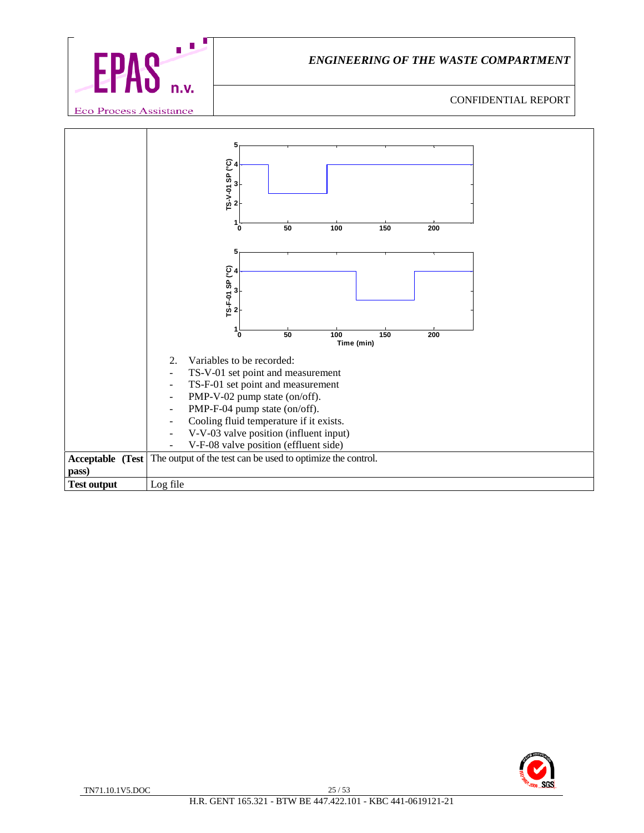



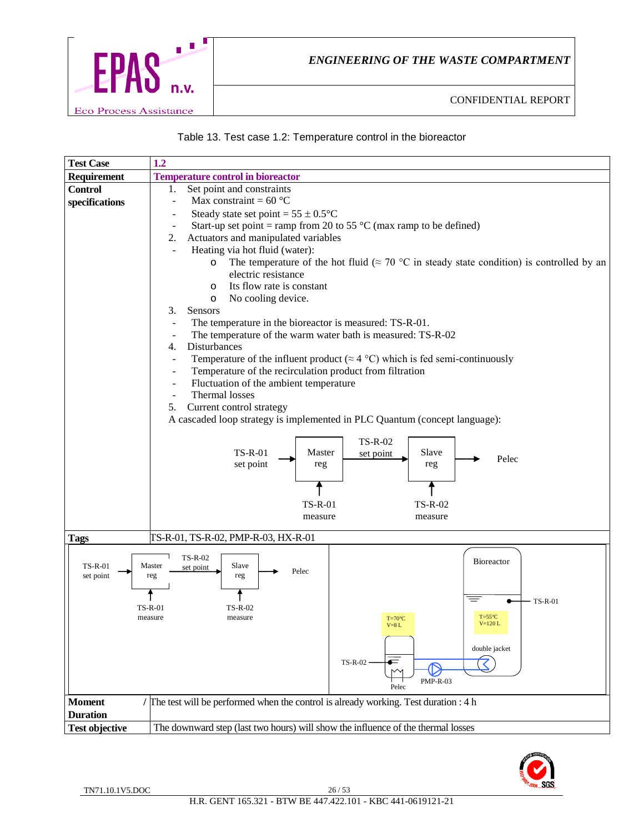



| <b>Test Case</b>      | 1.2                                                                                                                                 |
|-----------------------|-------------------------------------------------------------------------------------------------------------------------------------|
| Requirement           | <b>Temperature control in bioreactor</b>                                                                                            |
| <b>Control</b>        | Set point and constraints<br>1.                                                                                                     |
| specifications        | Max constraint = $60^{\circ}$ C<br>$\overline{\phantom{a}}$                                                                         |
|                       | Steady state set point = $55 \pm 0.5$ °C                                                                                            |
|                       | Start-up set point = ramp from 20 to 55 $\degree$ C (max ramp to be defined)<br>$\overline{\phantom{a}}$                            |
|                       | Actuators and manipulated variables<br>2.                                                                                           |
|                       | Heating via hot fluid (water):                                                                                                      |
|                       | The temperature of the hot fluid ( $\approx 70$ °C in steady state condition) is controlled by an<br>$\circ$<br>electric resistance |
|                       | Its flow rate is constant                                                                                                           |
|                       | $\circ$<br>No cooling device.<br>$\circ$                                                                                            |
|                       | Sensors<br>3.                                                                                                                       |
|                       | The temperature in the bioreactor is measured: TS-R-01.                                                                             |
|                       | The temperature of the warm water bath is measured: TS-R-02<br>$\overline{\phantom{a}}$                                             |
|                       | Disturbances<br>4.                                                                                                                  |
|                       | Temperature of the influent product ( $\approx$ 4 °C) which is fed semi-continuously<br>$\overline{\phantom{a}}$                    |
|                       | Temperature of the recirculation product from filtration<br>$\overline{\phantom{a}}$                                                |
|                       | Fluctuation of the ambient temperature<br>$\overline{\phantom{a}}$                                                                  |
|                       | Thermal losses<br>Current control strategy                                                                                          |
|                       | 5.<br>A cascaded loop strategy is implemented in PLC Quantum (concept language):                                                    |
|                       |                                                                                                                                     |
|                       | <b>TS-R-02</b>                                                                                                                      |
|                       | Master<br>Slave<br><b>TS-R-01</b><br>set point<br>Pelec                                                                             |
|                       | set point<br>reg<br>reg                                                                                                             |
|                       |                                                                                                                                     |
|                       |                                                                                                                                     |
|                       | <b>TS-R-01</b><br><b>TS-R-02</b>                                                                                                    |
|                       | measure<br>measure                                                                                                                  |
| <b>Tags</b>           | TS-R-01, TS-R-02, PMP-R-03, HX-R-01                                                                                                 |
|                       | <b>TS-R-02</b>                                                                                                                      |
| <b>TS-R-01</b>        | Bioreactor<br>Master<br>Slave<br>set point<br>Pelec                                                                                 |
| set point             | reg<br>reg                                                                                                                          |
|                       | $\equiv$                                                                                                                            |
|                       | $- TS-R-01$<br>$TS-R-01$<br>TS-R-02                                                                                                 |
|                       | $T = 55^{\circ}C$<br>measure<br>measure<br>$T=70^{\circ}C$<br>$V=120 L$<br>$V=8$ L                                                  |
|                       |                                                                                                                                     |
|                       | double jacket                                                                                                                       |
|                       | $\overline{\mathcal{K}}$<br>$TS-R-02$                                                                                               |
|                       | $PMP-R-03$                                                                                                                          |
|                       | Pelec                                                                                                                               |
| <b>Moment</b>         | / The test will be performed when the control is already working. Test duration : 4 h                                               |
| <b>Duration</b>       |                                                                                                                                     |
| <b>Test objective</b> | The downward step (last two hours) will show the influence of the thermal losses                                                    |

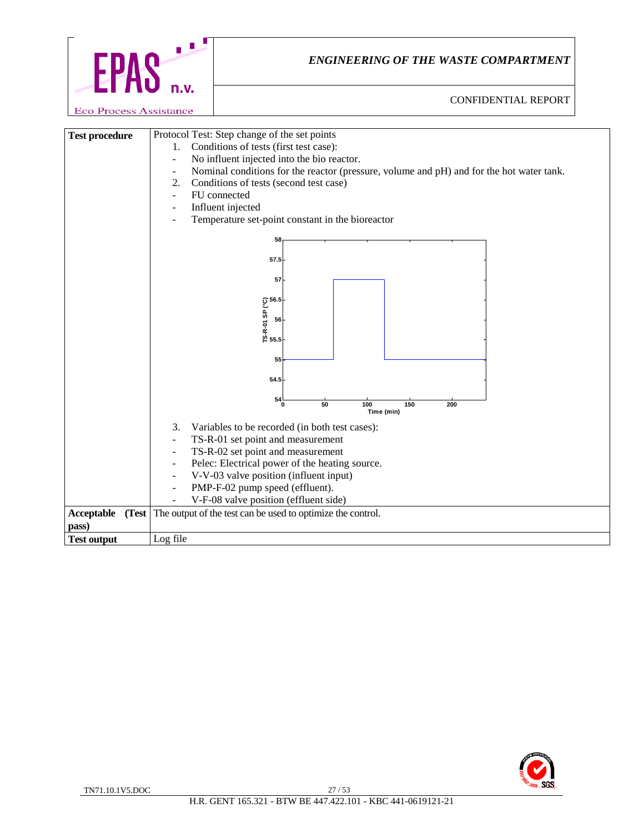

| <b>Test procedure</b> |       | Protocol Test: Step change of the set points                                                                         |  |  |
|-----------------------|-------|----------------------------------------------------------------------------------------------------------------------|--|--|
|                       |       | Conditions of tests (first test case):<br>1.                                                                         |  |  |
|                       |       | No influent injected into the bio reactor.<br>$\overline{\phantom{a}}$                                               |  |  |
|                       |       | Nominal conditions for the reactor (pressure, volume and pH) and for the hot water tank.<br>$\overline{\phantom{a}}$ |  |  |
|                       |       | 2.<br>Conditions of tests (second test case)                                                                         |  |  |
|                       |       | FU connected<br>÷                                                                                                    |  |  |
|                       |       | Influent injected                                                                                                    |  |  |
|                       |       | Temperature set-point constant in the bioreactor                                                                     |  |  |
|                       |       | 58                                                                                                                   |  |  |
|                       |       |                                                                                                                      |  |  |
|                       |       | 57.5                                                                                                                 |  |  |
|                       |       | 57                                                                                                                   |  |  |
|                       |       |                                                                                                                      |  |  |
|                       |       | TS-R-01 SP (°C)<br>TS-R-01 S6<br>55.5                                                                                |  |  |
|                       |       |                                                                                                                      |  |  |
|                       |       |                                                                                                                      |  |  |
|                       |       |                                                                                                                      |  |  |
|                       |       |                                                                                                                      |  |  |
|                       |       | 55                                                                                                                   |  |  |
|                       |       |                                                                                                                      |  |  |
|                       |       | 54.5                                                                                                                 |  |  |
|                       |       | $^{54}_{0}$                                                                                                          |  |  |
|                       |       | 50<br>100<br>150<br>200<br>Time (min)                                                                                |  |  |
|                       |       | 3.<br>Variables to be recorded (in both test cases):                                                                 |  |  |
|                       |       | TS-R-01 set point and measurement<br>$\overline{a}$                                                                  |  |  |
|                       |       | TS-R-02 set point and measurement<br>$\overline{\phantom{a}}$                                                        |  |  |
|                       |       | Pelec: Electrical power of the heating source.<br>$\overline{\phantom{a}}$                                           |  |  |
|                       |       | V-V-03 valve position (influent input)<br>$\blacksquare$                                                             |  |  |
|                       |       | PMP-F-02 pump speed (effluent).<br>$\overline{\phantom{a}}$                                                          |  |  |
|                       |       | V-F-08 valve position (effluent side)                                                                                |  |  |
| Acceptable            | (Test | The output of the test can be used to optimize the control.                                                          |  |  |
| pass)                 |       |                                                                                                                      |  |  |
| <b>Test output</b>    |       | Log file                                                                                                             |  |  |

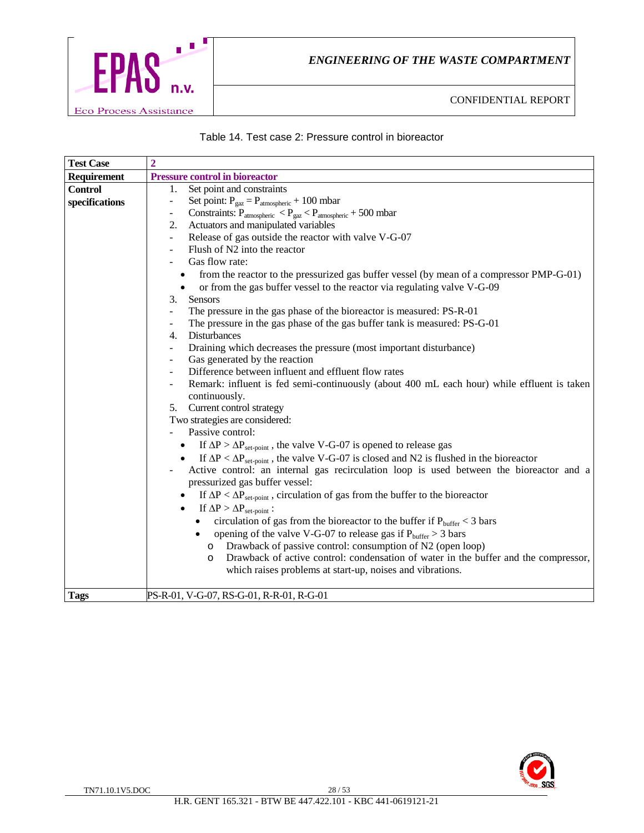

#### Table 14. Test case 2: Pressure control in bioreactor

| <b>Test Case</b> | $\overline{2}$                                                                                                                                                   |
|------------------|------------------------------------------------------------------------------------------------------------------------------------------------------------------|
| Requirement      | <b>Pressure control in bioreactor</b>                                                                                                                            |
| <b>Control</b>   | Set point and constraints<br>1.                                                                                                                                  |
| specifications   | Set point: $P_{\text{gaz}} = P_{\text{atmospheric}} + 100 \text{ mbar}$<br>$\overline{\phantom{a}}$                                                              |
|                  | Constraints: $P_{atmospheric} < P_{gaz} < P_{atmospheric} + 500$ mbar                                                                                            |
|                  | Actuators and manipulated variables<br>2.                                                                                                                        |
|                  | Release of gas outside the reactor with valve V-G-07                                                                                                             |
|                  | Flush of N2 into the reactor                                                                                                                                     |
|                  | Gas flow rate:                                                                                                                                                   |
|                  | from the reactor to the pressurized gas buffer vessel (by mean of a compressor PMP-G-01)                                                                         |
|                  | or from the gas buffer vessel to the reactor via regulating valve V-G-09<br>$\bullet$                                                                            |
|                  | 3.<br><b>Sensors</b>                                                                                                                                             |
|                  | The pressure in the gas phase of the bioreactor is measured: PS-R-01                                                                                             |
|                  | The pressure in the gas phase of the gas buffer tank is measured: PS-G-01                                                                                        |
|                  | Disturbances<br>4.                                                                                                                                               |
|                  | Draining which decreases the pressure (most important disturbance)                                                                                               |
|                  | Gas generated by the reaction                                                                                                                                    |
|                  | Difference between influent and effluent flow rates                                                                                                              |
|                  | Remark: influent is fed semi-continuously (about 400 mL each hour) while effluent is taken<br>continuously.                                                      |
|                  | 5. Current control strategy                                                                                                                                      |
|                  | Two strategies are considered:                                                                                                                                   |
|                  | Passive control:                                                                                                                                                 |
|                  | If $\Delta P > \Delta P_{\text{set-point}}$ , the valve V-G-07 is opened to release gas                                                                          |
|                  | If $\Delta P < \Delta P_{set-point}$ , the valve V-G-07 is closed and N2 is flushed in the bioreactor                                                            |
|                  | Active control: an internal gas recirculation loop is used between the bioreactor and a<br>pressurized gas buffer vessel:                                        |
|                  | If $\Delta P < \Delta P_{\text{set-point}}$ , circulation of gas from the buffer to the bioreactor<br>If $\Delta P > \Delta P_{\text{set-point}}$ :<br>$\bullet$ |
|                  | circulation of gas from the bioreactor to the buffer if $P_{\text{buffer}} < 3$ bars                                                                             |
|                  | opening of the valve V-G-07 to release gas if $P_{buffer} > 3$ bars<br>$\bullet$                                                                                 |
|                  | Drawback of passive control: consumption of N2 (open loop)                                                                                                       |
|                  | $\circ$<br>Drawback of active control: condensation of water in the buffer and the compressor,<br>$\circ$                                                        |
|                  | which raises problems at start-up, noises and vibrations.                                                                                                        |
| <b>Tags</b>      | PS-R-01, V-G-07, RS-G-01, R-R-01, R-G-01                                                                                                                         |

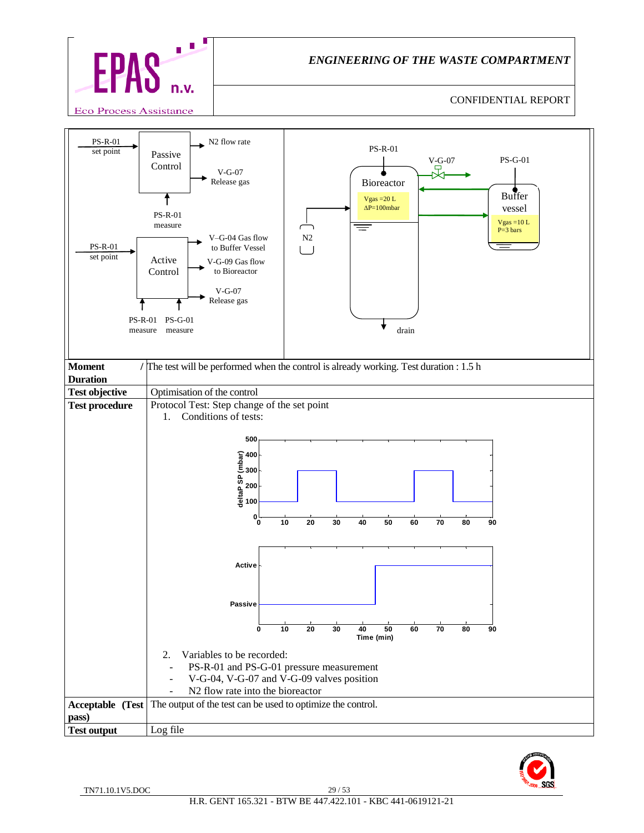



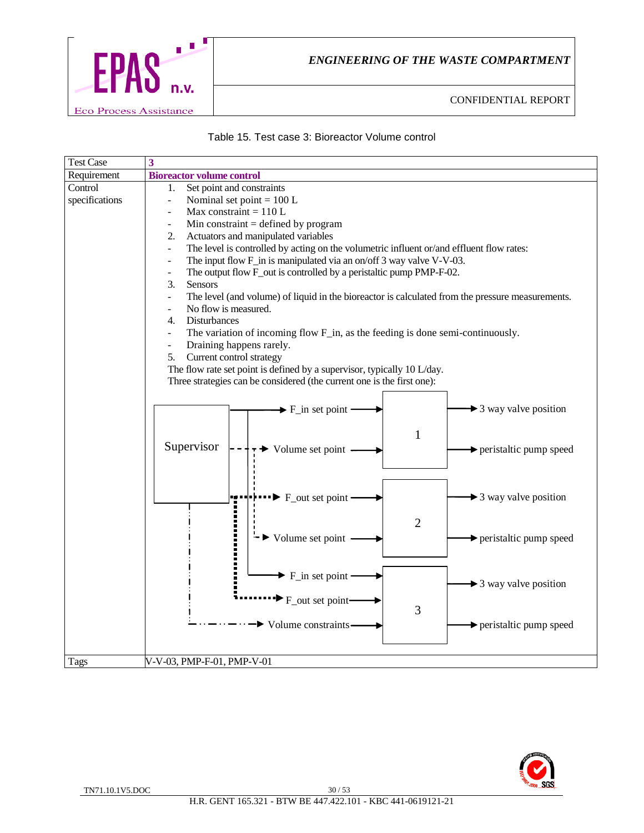

#### Table 15. Test case 3: Bioreactor Volume control

| <b>Test Case</b> | $\overline{\mathbf{3}}$                                                                                                      |
|------------------|------------------------------------------------------------------------------------------------------------------------------|
| Requirement      | <b>Bioreactor volume control</b>                                                                                             |
| Control          | Set point and constraints<br>1.                                                                                              |
| specifications   | Nominal set point = $100 L$                                                                                                  |
|                  | Max constraint = $110 L$                                                                                                     |
|                  | Min constraint $=$ defined by program                                                                                        |
|                  | Actuators and manipulated variables<br>2.                                                                                    |
|                  | The level is controlled by acting on the volumetric influent or/and effluent flow rates:<br>$\overline{\phantom{a}}$         |
|                  | The input flow F_in is manipulated via an on/off 3 way valve V-V-03.                                                         |
|                  | The output flow F_out is controlled by a peristaltic pump PMP-F-02.                                                          |
|                  | 3.<br>Sensors                                                                                                                |
|                  | The level (and volume) of liquid in the bioreactor is calculated from the pressure measurements.<br>$\overline{\phantom{a}}$ |
|                  | No flow is measured.                                                                                                         |
|                  | Disturbances<br>4.                                                                                                           |
|                  | The variation of incoming flow F_in, as the feeding is done semi-continuously.                                               |
|                  | Draining happens rarely.<br>$\overline{\phantom{a}}$                                                                         |
|                  | Current control strategy<br>5.                                                                                               |
|                  | The flow rate set point is defined by a supervisor, typically 10 L/day.                                                      |
|                  | Three strategies can be considered (the current one is the first one):                                                       |
|                  |                                                                                                                              |
|                  | $\blacktriangleright$ 3 way valve position<br>$\blacktriangleright$ F_in set point                                           |
|                  |                                                                                                                              |
|                  | $\mathbf{1}$                                                                                                                 |
|                  | Supervisor<br>Volume set point<br>peristaltic pump speed                                                                     |
|                  |                                                                                                                              |
|                  |                                                                                                                              |
|                  |                                                                                                                              |
|                  | $\blacktriangleright$ 3 way valve position<br>$\blacktriangleright$ F_out set point                                          |
|                  |                                                                                                                              |
|                  | $\overline{2}$                                                                                                               |
|                  | Volume set point<br>peristaltic pump speed                                                                                   |
|                  |                                                                                                                              |
|                  |                                                                                                                              |
|                  | $\blacktriangleright$ F_in set point                                                                                         |
|                  | $\rightarrow$ 3 way valve position                                                                                           |
|                  | $F_$ out set point                                                                                                           |
|                  | 3                                                                                                                            |
|                  | Volume constraints-<br>peristaltic pump speed                                                                                |
|                  |                                                                                                                              |
|                  |                                                                                                                              |
| Tags             | V-V-03, PMP-F-01, PMP-V-01                                                                                                   |

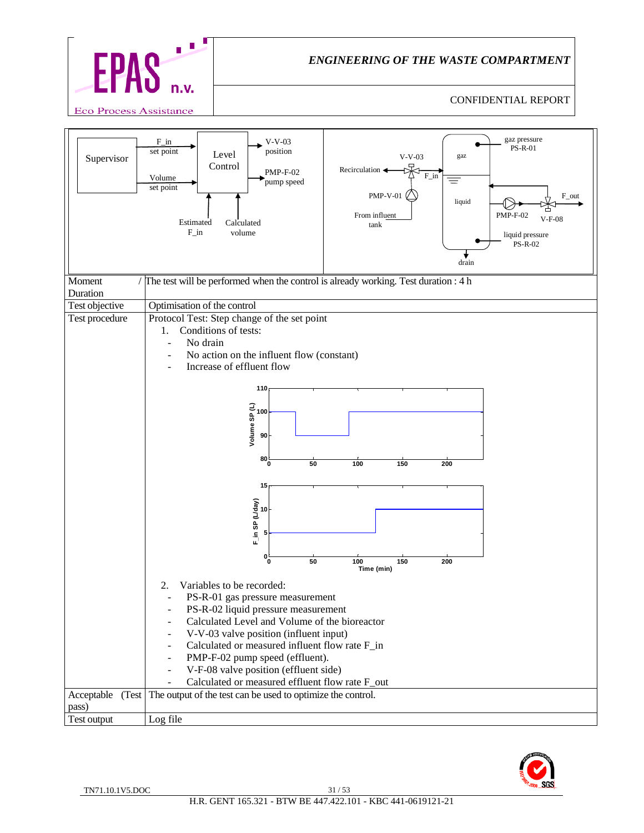

| Supervisor                   | $F_in$<br>$V-V-03$<br>position<br>set point<br>Level<br>Control<br>Recirculation<br><b>PMP-F-02</b><br>Volume<br>pump speed<br>set point<br>Estimated<br>Calculated<br>$F_in$<br>volume                                                                 | gaz pressure<br><b>PS-R-01</b><br>$V-V-03$<br>gaz<br>$F_{in}$<br>$\equiv$<br><b>PMP-V-01</b><br>$F_$ out<br>liquid<br>From influent<br><b>PMP-F-02</b><br>$V-F-08$<br>tank<br>liquid pressure<br>PS-R-02<br>drain |
|------------------------------|---------------------------------------------------------------------------------------------------------------------------------------------------------------------------------------------------------------------------------------------------------|-------------------------------------------------------------------------------------------------------------------------------------------------------------------------------------------------------------------|
| Moment                       | The test will be performed when the control is already working. Test duration : 4 h                                                                                                                                                                     |                                                                                                                                                                                                                   |
| Duration                     |                                                                                                                                                                                                                                                         |                                                                                                                                                                                                                   |
| Test objective               | Optimisation of the control                                                                                                                                                                                                                             |                                                                                                                                                                                                                   |
| Test procedure               | Protocol Test: Step change of the set point<br>Conditions of tests:<br>1.<br>No drain<br>No action on the influent flow (constant)<br>Increase of effluent flow                                                                                         |                                                                                                                                                                                                                   |
|                              | 110<br>Volume SP $(L)$<br>$\frac{1}{8}$<br>90                                                                                                                                                                                                           |                                                                                                                                                                                                                   |
|                              | $80\frac{L}{0}$<br>50<br>100                                                                                                                                                                                                                            | 150<br>200                                                                                                                                                                                                        |
|                              | 15                                                                                                                                                                                                                                                      |                                                                                                                                                                                                                   |
|                              |                                                                                                                                                                                                                                                         |                                                                                                                                                                                                                   |
|                              | F_in SP (L/day)<br>10                                                                                                                                                                                                                                   |                                                                                                                                                                                                                   |
|                              |                                                                                                                                                                                                                                                         |                                                                                                                                                                                                                   |
|                              | $0^{\mathsf{L}}_{\mathsf{O}}$<br>50<br>100                                                                                                                                                                                                              | 150<br>200<br>Time (min)                                                                                                                                                                                          |
|                              | 2.<br>Variables to be recorded:<br>PS-R-01 gas pressure measurement<br>PS-R-02 liquid pressure measurement<br>Calculated Level and Volume of the bioreactor<br>V-V-03 valve position (influent input)<br>Calculated or measured influent flow rate F_in |                                                                                                                                                                                                                   |
|                              | PMP-F-02 pump speed (effluent).                                                                                                                                                                                                                         |                                                                                                                                                                                                                   |
|                              | V-F-08 valve position (effluent side)                                                                                                                                                                                                                   |                                                                                                                                                                                                                   |
|                              | Calculated or measured effluent flow rate F_out                                                                                                                                                                                                         |                                                                                                                                                                                                                   |
| Acceptable<br>(Test<br>pass) | The output of the test can be used to optimize the control.                                                                                                                                                                                             |                                                                                                                                                                                                                   |
| Test output                  | Log file                                                                                                                                                                                                                                                |                                                                                                                                                                                                                   |
|                              |                                                                                                                                                                                                                                                         |                                                                                                                                                                                                                   |

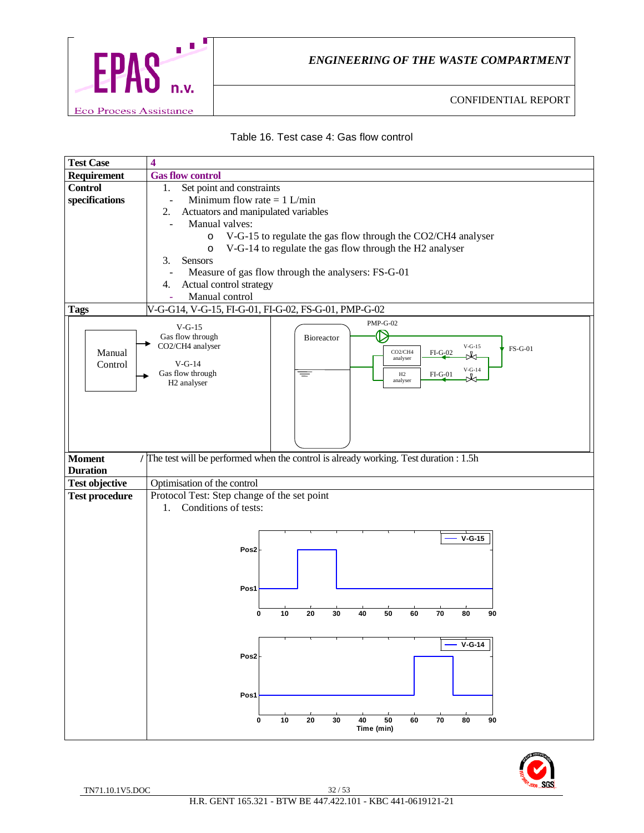



| <b>Test Case</b>      | 4                                                                                               |
|-----------------------|-------------------------------------------------------------------------------------------------|
| Requirement           | <b>Gas flow control</b>                                                                         |
| <b>Control</b>        | Set point and constraints<br>1.                                                                 |
| specifications        | Minimum flow rate $= 1$ L/min                                                                   |
|                       | Actuators and manipulated variables<br>2.                                                       |
|                       | Manual valves:                                                                                  |
|                       | V-G-15 to regulate the gas flow through the CO2/CH4 analyser<br>$\circ$                         |
|                       | V-G-14 to regulate the gas flow through the H2 analyser<br>$\circ$                              |
|                       | 3.<br>Sensors                                                                                   |
|                       | Measure of gas flow through the analysers: FS-G-01                                              |
|                       | Actual control strategy<br>4.                                                                   |
|                       | Manual control                                                                                  |
| <b>Tags</b>           | V-G-G14, V-G-15, FI-G-01, FI-G-02, FS-G-01, PMP-G-02                                            |
|                       | <b>PMP-G-02</b><br>$V-G-15$                                                                     |
|                       | Gas flow through<br><b>Bioreactor</b>                                                           |
| Manual                | CO2/CH4 analyser<br>$V-G-15$<br><b>FS-G-01</b><br>CO <sub>2</sub> /CH <sub>4</sub><br>$FI-G202$ |
| Control               | A<br>analyser<br>$V-G-14$                                                                       |
|                       | $\rm V\text{-}G\text{-}14$<br>Gas flow through<br>₹<br>H2<br>$FI-G201$<br>rЮ                    |
|                       | analyser<br>H <sub>2</sub> analyser                                                             |
|                       |                                                                                                 |
|                       |                                                                                                 |
|                       |                                                                                                 |
|                       |                                                                                                 |
|                       |                                                                                                 |
| <b>Moment</b>         | / The test will be performed when the control is already working. Test duration : 1.5h          |
| <b>Duration</b>       |                                                                                                 |
| <b>Test objective</b> | Optimisation of the control                                                                     |
| <b>Test procedure</b> | Protocol Test: Step change of the set point                                                     |
|                       | Conditions of tests:<br>1.                                                                      |
|                       |                                                                                                 |
|                       | $V-G-15$                                                                                        |
|                       | Pos2                                                                                            |
|                       |                                                                                                 |
|                       |                                                                                                 |
|                       | Pos1                                                                                            |
|                       |                                                                                                 |
|                       | 20<br>50<br>10<br>30<br>40<br>60<br>70<br>80<br>90<br>0                                         |
|                       |                                                                                                 |
|                       |                                                                                                 |
|                       | $V-G-14$                                                                                        |
|                       | Pos <sub>2</sub>                                                                                |
|                       |                                                                                                 |
|                       |                                                                                                 |
|                       | Pos1                                                                                            |
|                       |                                                                                                 |
|                       |                                                                                                 |
|                       | 50<br>10<br>20<br>30<br>40<br>60<br>70<br>80<br>90<br>0<br>Time (min)                           |

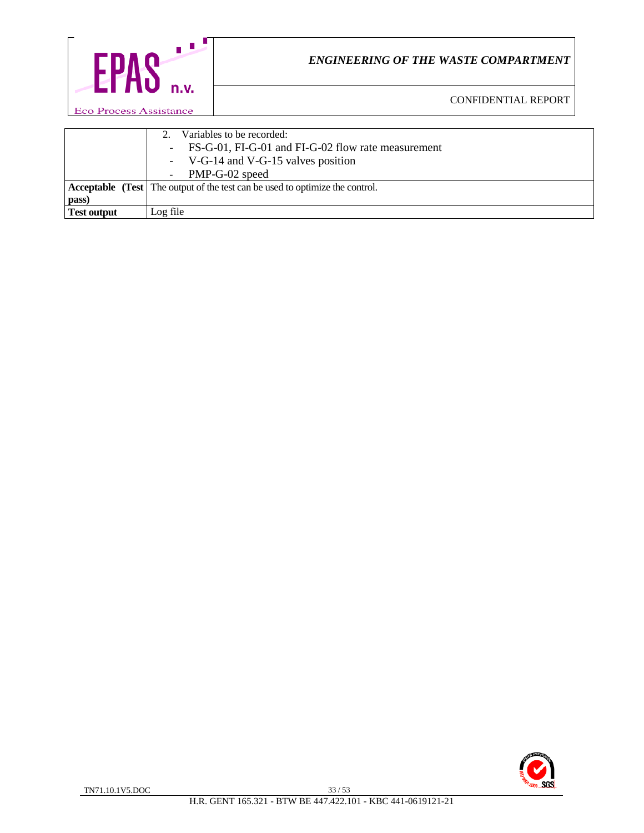

CONFIDENTIAL REPORT

2. Variables to be recorded: - FS-G-01, FI-G-01 and FI-G-02 flow rate measurement - V-G-14 and V-G-15 valves position - PMP-G-02 speed **Acceptable (Test** The output of the test can be used to optimize the control. **pass)** Test output Log file

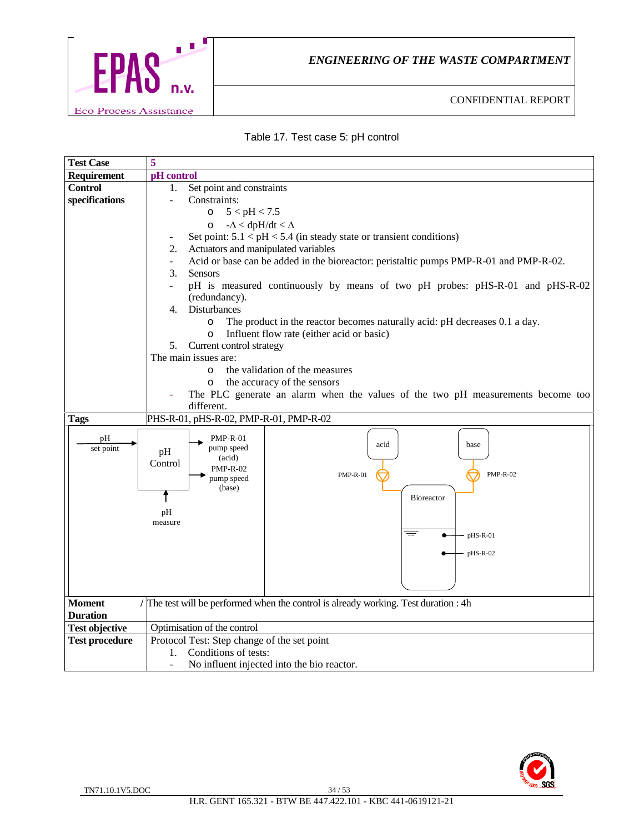

#### Table 17. Test case 5: pH control

| <b>Test Case</b>      | 5                                                                                                                                                    |  |
|-----------------------|------------------------------------------------------------------------------------------------------------------------------------------------------|--|
| Requirement           | pH control                                                                                                                                           |  |
| <b>Control</b>        | Set point and constraints<br>1.                                                                                                                      |  |
| specifications        | Constraints:<br>$\blacksquare$                                                                                                                       |  |
|                       | 5 < pH < 7.5<br>$\circ$                                                                                                                              |  |
|                       | $-\Delta <$ dpH/dt $< \Delta$<br>$\circ$                                                                                                             |  |
|                       | Set point: $5.1 < pH < 5.4$ (in steady state or transient conditions)<br>$\overline{\phantom{a}}$                                                    |  |
|                       | Actuators and manipulated variables<br>2.                                                                                                            |  |
|                       | Acid or base can be added in the bioreactor: peristaltic pumps PMP-R-01 and PMP-R-02.<br>$\overline{\phantom{0}}$                                    |  |
|                       | 3.<br><b>Sensors</b>                                                                                                                                 |  |
|                       | pH is measured continuously by means of two pH probes: pHS-R-01 and pHS-R-02                                                                         |  |
|                       | (redundancy).                                                                                                                                        |  |
|                       | Disturbances<br>4.                                                                                                                                   |  |
|                       | The product in the reactor becomes naturally acid: pH decreases 0.1 a day.<br>$\circ$                                                                |  |
|                       | Influent flow rate (either acid or basic)<br>$\circ$                                                                                                 |  |
|                       | Current control strategy<br>5.                                                                                                                       |  |
|                       | The main issues are:                                                                                                                                 |  |
|                       | the validation of the measures<br>$\circ$                                                                                                            |  |
|                       | the accuracy of the sensors<br>$\circ$                                                                                                               |  |
|                       | The PLC generate an alarm when the values of the two pH measurements become too<br>different.                                                        |  |
|                       | PHS-R-01, pHS-R-02, PMP-R-01, PMP-R-02                                                                                                               |  |
| <b>Tags</b>           |                                                                                                                                                      |  |
| pH<br>set point       | <b>PMP-R-01</b><br>acid<br>base<br>pump speed<br>pH<br>(acid)<br>Control<br><b>PMP-R-02</b><br><b>PMP-R-02</b><br>$PMP-R-01$<br>pump speed<br>(base) |  |
|                       | <b>Bioreactor</b>                                                                                                                                    |  |
|                       | pH                                                                                                                                                   |  |
|                       | measure                                                                                                                                              |  |
|                       | $\equiv$<br>$p$ HS-R-01                                                                                                                              |  |
|                       | $p$ HS-R-02                                                                                                                                          |  |
|                       |                                                                                                                                                      |  |
|                       |                                                                                                                                                      |  |
|                       |                                                                                                                                                      |  |
| <b>Moment</b>         | / The test will be performed when the control is already working. Test duration : 4h                                                                 |  |
| <b>Duration</b>       |                                                                                                                                                      |  |
| <b>Test objective</b> | Optimisation of the control                                                                                                                          |  |
| <b>Test procedure</b> | Protocol Test: Step change of the set point                                                                                                          |  |
|                       | Conditions of tests:<br>1.                                                                                                                           |  |
|                       | No influent injected into the bio reactor.<br>$\overline{\phantom{a}}$                                                                               |  |

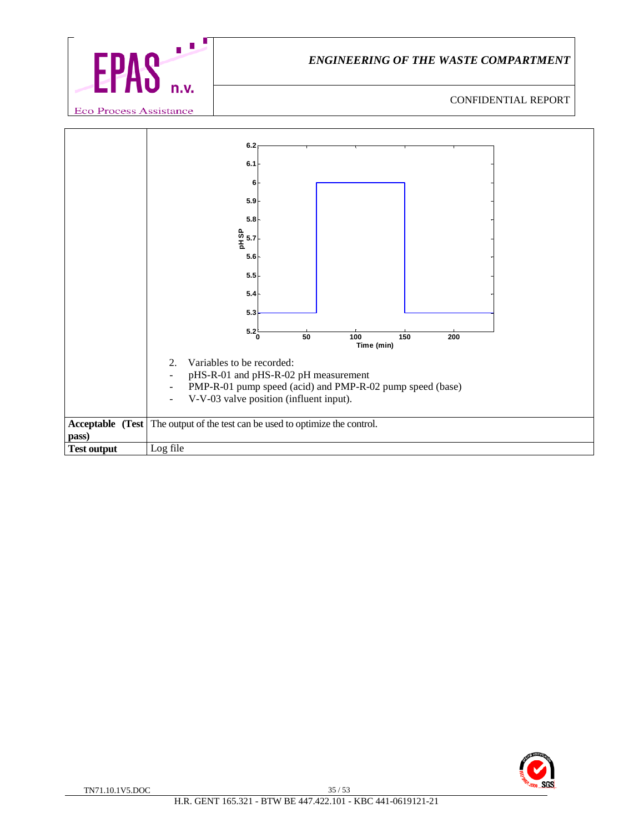

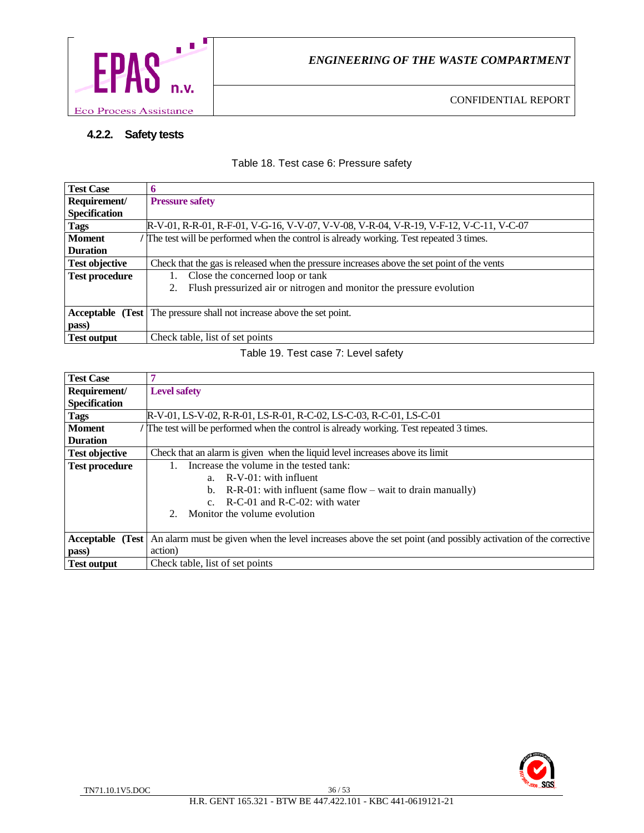

# **4.2.2. Safety tests**

Table 18. Test case 6: Pressure safety

| <b>Test Case</b>      | 6                                                                                           |
|-----------------------|---------------------------------------------------------------------------------------------|
| Requirement/          | <b>Pressure safety</b>                                                                      |
| <b>Specification</b>  |                                                                                             |
| <b>Tags</b>           | R-V-01, R-R-01, R-F-01, V-G-16, V-V-07, V-V-08, V-R-04, V-R-19, V-F-12, V-C-11, V-C-07      |
| <b>Moment</b>         | The test will be performed when the control is already working. Test repeated 3 times.      |
| <b>Duration</b>       |                                                                                             |
| <b>Test objective</b> | Check that the gas is released when the pressure increases above the set point of the vents |
| <b>Test procedure</b> | 1. Close the concerned loop or tank                                                         |
|                       | Flush pressurized air or nitrogen and monitor the pressure evolution<br>2.                  |
|                       |                                                                                             |
|                       | Acceptable (Test   The pressure shall not increase above the set point.                     |
| pass)                 |                                                                                             |
| <b>Test output</b>    | Check table, list of set points                                                             |

#### Table 19. Test case 7: Level safety

| <b>Test Case</b>      |                                                                                                                |  |
|-----------------------|----------------------------------------------------------------------------------------------------------------|--|
| Requirement/          | <b>Level safety</b>                                                                                            |  |
| <b>Specification</b>  |                                                                                                                |  |
| <b>Tags</b>           | R-V-01, LS-V-02, R-R-01, LS-R-01, R-C-02, LS-C-03, R-C-01, LS-C-01                                             |  |
| <b>Moment</b>         | The test will be performed when the control is already working. Test repeated 3 times.                         |  |
| <b>Duration</b>       |                                                                                                                |  |
| <b>Test objective</b> | Check that an alarm is given when the liquid level increases above its limit                                   |  |
| <b>Test procedure</b> | Increase the volume in the tested tank:                                                                        |  |
|                       | a. R-V-01: with influent                                                                                       |  |
|                       | $R-R-01$ : with influent (same flow – wait to drain manually)<br>b.                                            |  |
|                       | c. $R-C-01$ and $R-C-02$ : with water                                                                          |  |
|                       | 2. Monitor the volume evolution                                                                                |  |
|                       |                                                                                                                |  |
| Acceptable (Test      | An alarm must be given when the level increases above the set point (and possibly activation of the corrective |  |
| pass)                 | action)                                                                                                        |  |
| <b>Test output</b>    | Check table, list of set points                                                                                |  |

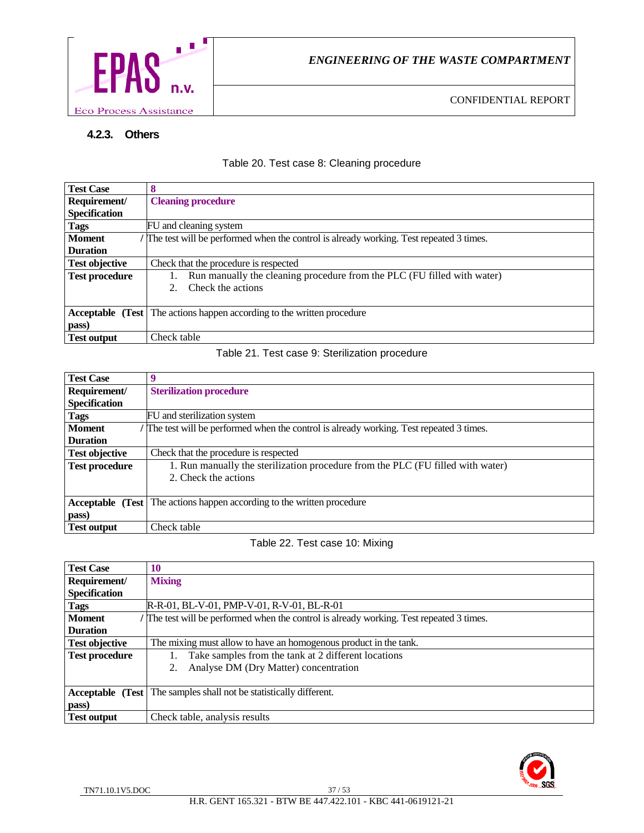

# **4.2.3. Others**

Table 20. Test case 8: Cleaning procedure

| <b>Test Case</b>      | 8                                                                                      |
|-----------------------|----------------------------------------------------------------------------------------|
| Requirement/          | <b>Cleaning procedure</b>                                                              |
| <b>Specification</b>  |                                                                                        |
| <b>Tags</b>           | FU and cleaning system                                                                 |
| <b>Moment</b>         | The test will be performed when the control is already working. Test repeated 3 times. |
| <b>Duration</b>       |                                                                                        |
| <b>Test objective</b> | Check that the procedure is respected                                                  |
| <b>Test procedure</b> | Run manually the cleaning procedure from the PLC (FU filled with water)                |
|                       | Check the actions<br>$\mathcal{L}$                                                     |
|                       |                                                                                        |
|                       | <b>Acceptable</b> (Test The actions happen according to the written procedure          |
| pass)                 |                                                                                        |
| <b>Test output</b>    | Check table                                                                            |

#### Table 21. Test case 9: Sterilization procedure

| <b>Test Case</b>      |                                                                                        |
|-----------------------|----------------------------------------------------------------------------------------|
| Requirement/          | <b>Sterilization procedure</b>                                                         |
| <b>Specification</b>  |                                                                                        |
| <b>Tags</b>           | FU and sterilization system                                                            |
| <b>Moment</b>         | The test will be performed when the control is already working. Test repeated 3 times. |
| <b>Duration</b>       |                                                                                        |
| <b>Test objective</b> | Check that the procedure is respected                                                  |
| <b>Test procedure</b> | 1. Run manually the sterilization procedure from the PLC (FU filled with water)        |
|                       | 2. Check the actions                                                                   |
|                       |                                                                                        |
|                       | <b>Acceptable</b> (Test The actions happen according to the written procedure          |
| pass)                 |                                                                                        |
| <b>Test output</b>    | Check table                                                                            |

# Table 22. Test case 10: Mixing

| <b>Test Case</b>      | 10                                                                                     |
|-----------------------|----------------------------------------------------------------------------------------|
| Requirement/          | <b>Mixing</b>                                                                          |
| <b>Specification</b>  |                                                                                        |
| Tags                  | R-R-01, BL-V-01, PMP-V-01, R-V-01, BL-R-01                                             |
| <b>Moment</b>         | The test will be performed when the control is already working. Test repeated 3 times. |
| <b>Duration</b>       |                                                                                        |
| <b>Test objective</b> | The mixing must allow to have an homogenous product in the tank.                       |
| <b>Test procedure</b> | Take samples from the tank at 2 different locations                                    |
|                       | Analyse DM (Dry Matter) concentration<br>2.                                            |
|                       |                                                                                        |
|                       | <b>Acceptable</b> (Test   The samples shall not be statistically different.            |
| pass)                 |                                                                                        |
| <b>Test output</b>    | Check table, analysis results                                                          |

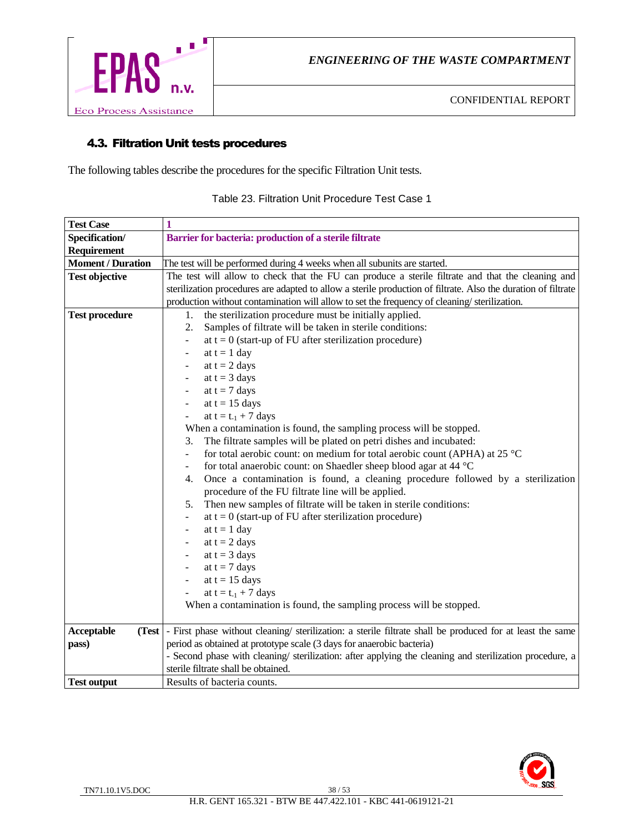

# 4.3. Filtration Unit tests procedures

The following tables describe the procedures for the specific Filtration Unit tests.

| <b>Test Case</b>         | 1                                                                                                                 |  |
|--------------------------|-------------------------------------------------------------------------------------------------------------------|--|
| Specification/           | Barrier for bacteria: production of a sterile filtrate                                                            |  |
| Requirement              |                                                                                                                   |  |
| <b>Moment / Duration</b> | The test will be performed during 4 weeks when all subunits are started.                                          |  |
| <b>Test objective</b>    | The test will allow to check that the FU can produce a sterile filtrate and that the cleaning and                 |  |
|                          | sterilization procedures are adapted to allow a sterile production of filtrate. Also the duration of filtrate     |  |
|                          | production without contamination will allow to set the frequency of cleaning/sterilization.                       |  |
| <b>Test procedure</b>    | the sterilization procedure must be initially applied.<br>1.                                                      |  |
|                          | Samples of filtrate will be taken in sterile conditions:<br>2.                                                    |  |
|                          | at $t = 0$ (start-up of FU after sterilization procedure)<br>$\overline{\phantom{0}}$                             |  |
|                          | at $t = 1$ day<br>-                                                                                               |  |
|                          | at $t = 2$ days<br>$\overline{\phantom{a}}$                                                                       |  |
|                          | at $t = 3$ days<br>$\overline{\phantom{a}}$                                                                       |  |
|                          | at $t = 7$ days                                                                                                   |  |
|                          | at $t = 15$ days                                                                                                  |  |
|                          | at $t = t_{-1} + 7$ days                                                                                          |  |
|                          | When a contamination is found, the sampling process will be stopped.                                              |  |
|                          | The filtrate samples will be plated on petri dishes and incubated:<br>3.                                          |  |
|                          | for total aerobic count: on medium for total aerobic count (APHA) at 25 °C<br>÷,                                  |  |
|                          | for total anaerobic count: on Shaedler sheep blood agar at 44 °C<br>-                                             |  |
|                          | Once a contamination is found, a cleaning procedure followed by a sterilization<br>4.                             |  |
|                          | procedure of the FU filtrate line will be applied.                                                                |  |
|                          | Then new samples of filtrate will be taken in sterile conditions:<br>5.                                           |  |
|                          | at $t = 0$ (start-up of FU after sterilization procedure)<br>$\overline{\phantom{0}}$                             |  |
|                          | at $t = 1$ day<br>-                                                                                               |  |
|                          | at $t = 2$ days<br>-                                                                                              |  |
|                          | at $t = 3$ days<br>-                                                                                              |  |
|                          | at $t = 7$ days<br>-                                                                                              |  |
|                          | at $t = 15$ days<br>-                                                                                             |  |
|                          | at $t = t_{-1} + 7$ days                                                                                          |  |
|                          | When a contamination is found, the sampling process will be stopped.                                              |  |
|                          |                                                                                                                   |  |
| Acceptable               | (Test   - First phase without cleaning/ sterilization: a sterile filtrate shall be produced for at least the same |  |
| pass)                    | period as obtained at prototype scale (3 days for anaerobic bacteria)                                             |  |
|                          | - Second phase with cleaning/ sterilization: after applying the cleaning and sterilization procedure, a           |  |
|                          | sterile filtrate shall be obtained.                                                                               |  |
| <b>Test output</b>       | Results of bacteria counts.                                                                                       |  |

Table 23. Filtration Unit Procedure Test Case 1

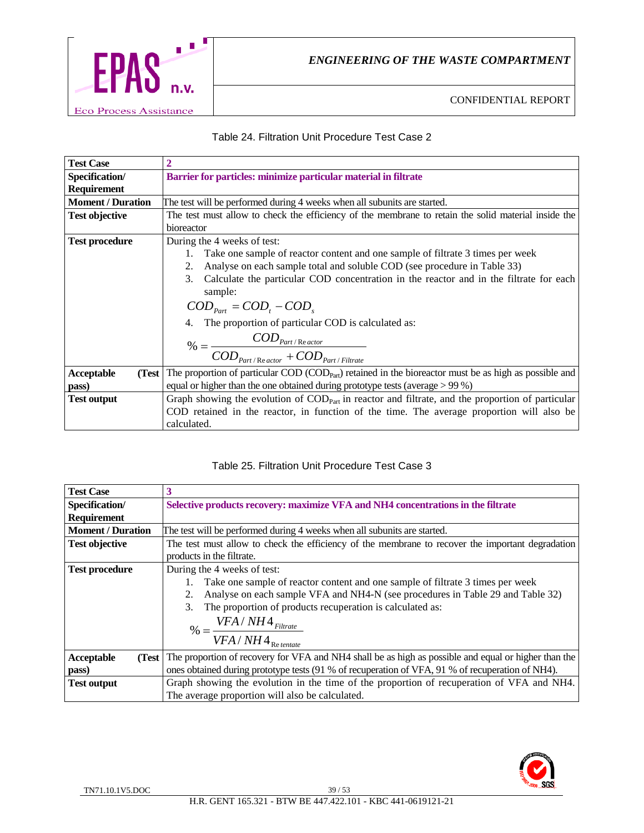

#### Table 24. Filtration Unit Procedure Test Case 2

| <b>Test Case</b>         | 2                                                                                                                                     |  |
|--------------------------|---------------------------------------------------------------------------------------------------------------------------------------|--|
| Specification/           | Barrier for particles: minimize particular material in filtrate                                                                       |  |
| <b>Requirement</b>       |                                                                                                                                       |  |
| <b>Moment</b> / Duration | The test will be performed during 4 weeks when all subunits are started.                                                              |  |
| <b>Test objective</b>    | The test must allow to check the efficiency of the membrane to retain the solid material inside the                                   |  |
|                          | bioreactor                                                                                                                            |  |
| <b>Test procedure</b>    | During the 4 weeks of test:                                                                                                           |  |
|                          | Take one sample of reactor content and one sample of filtrate 3 times per week                                                        |  |
|                          | Analyse on each sample total and soluble COD (see procedure in Table 33)<br>2.                                                        |  |
|                          | Calculate the particular COD concentration in the reactor and in the filtrate for each<br>3.                                          |  |
|                          | sample:                                                                                                                               |  |
|                          | $COD_{part} = COD, - COD$                                                                                                             |  |
|                          | 4. The proportion of particular COD is calculated as:                                                                                 |  |
|                          |                                                                                                                                       |  |
|                          | $\% = \frac{COD_{\text{Part}/\text{Re\textit{actor}}}}{COD_{\text{Part}/\text{Re\textit{actor}}} + COD_{\text{Part}/\text{Filter}}}.$ |  |
| Acceptable<br>(Test      | The proportion of particular COD (COD <sub>Part</sub> ) retained in the bioreactor must be as high as possible and                    |  |
| pass)                    | equal or higher than the one obtained during prototype tests (average $> 99\%$ )                                                      |  |
| <b>Test output</b>       | Graph showing the evolution of $\text{COD}_{\text{Part}}$ in reactor and filtrate, and the proportion of particular                   |  |
|                          | COD retained in the reactor, in function of the time. The average proportion will also be                                             |  |
|                          | calculated.                                                                                                                           |  |

#### Table 25. Filtration Unit Procedure Test Case 3

| <b>Test Case</b>         |                                                                                                      |
|--------------------------|------------------------------------------------------------------------------------------------------|
| Specification/           | Selective products recovery: maximize VFA and NH4 concentrations in the filtrate                     |
| <b>Requirement</b>       |                                                                                                      |
| <b>Moment / Duration</b> | The test will be performed during 4 weeks when all subunits are started.                             |
| <b>Test objective</b>    | The test must allow to check the efficiency of the membrane to recover the important degradation     |
|                          | products in the filtrate.                                                                            |
| <b>Test procedure</b>    | During the 4 weeks of test:                                                                          |
|                          | Take one sample of reactor content and one sample of filtrate 3 times per week                       |
|                          | Analyse on each sample VFA and NH4-N (see procedures in Table 29 and Table 32)<br>2.                 |
|                          | The proportion of products recuperation is calculated as:<br>3.                                      |
|                          | $\% = \frac{VFA / NH4_{Filter}}{VFA / TH4_{Filter}}$                                                 |
|                          | $VFA/NH4$ Retentate                                                                                  |
| Acceptable<br>(Test      | The proportion of recovery for VFA and NH4 shall be as high as possible and equal or higher than the |
| pass)                    | ones obtained during prototype tests (91 % of recuperation of VFA, 91 % of recuperation of NH4).     |
| <b>Test output</b>       | Graph showing the evolution in the time of the proportion of recuperation of VFA and NH4.            |
|                          | The average proportion will also be calculated.                                                      |

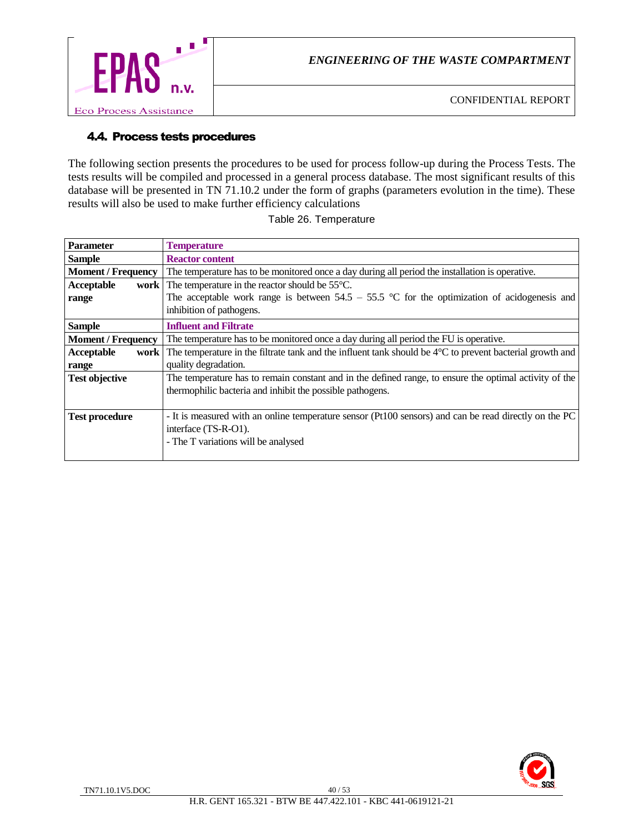

# 4.4. Process tests procedures

The following section presents the procedures to be used for process follow-up during the Process Tests. The tests results will be compiled and processed in a general process database. The most significant results of this database will be presented in TN 71.10.2 under the form of graphs (parameters evolution in the time). These results will also be used to make further efficiency calculations

| <b>Parameter</b>          | <b>Temperature</b>                                                                                                 |
|---------------------------|--------------------------------------------------------------------------------------------------------------------|
| <b>Sample</b>             | <b>Reactor content</b>                                                                                             |
| <b>Moment / Frequency</b> | The temperature has to be monitored once a day during all period the installation is operative.                    |
| Acceptable<br>work        | The temperature in the reactor should be $55^{\circ}$ C.                                                           |
| range                     | The acceptable work range is between $54.5 - 55.5$ °C for the optimization of acidogenesis and                     |
|                           | inhibition of pathogens.                                                                                           |
| <b>Sample</b>             | <b>Influent and Filtrate</b>                                                                                       |
| <b>Moment / Frequency</b> | The temperature has to be monitored once a day during all period the FU is operative.                              |
| Acceptable<br>work        | The temperature in the filtrate tank and the influent tank should be $4^{\circ}$ C to prevent bacterial growth and |
| range                     | quality degradation.                                                                                               |
| <b>Test objective</b>     | The temperature has to remain constant and in the defined range, to ensure the optimal activity of the             |
|                           | thermophilic bacteria and inhibit the possible pathogens.                                                          |
|                           |                                                                                                                    |
| <b>Test procedure</b>     | - It is measured with an online temperature sensor (Pt100 sensors) and can be read directly on the PC              |
|                           | interface (TS-R-O1).                                                                                               |
|                           | - The T variations will be analysed                                                                                |
|                           |                                                                                                                    |

#### Table 26. Temperature

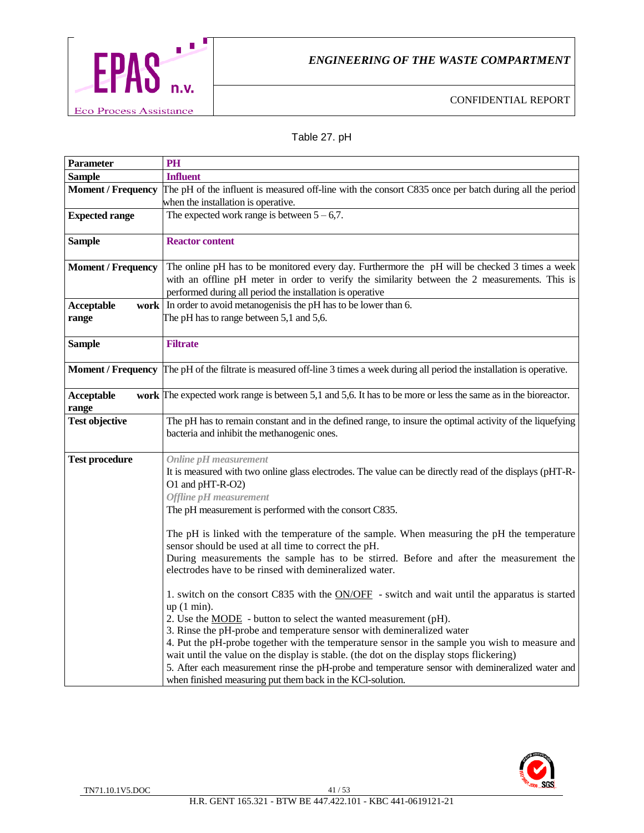

# Table 27. pH

| <b>Parameter</b>          | PH                                                                                                                                               |
|---------------------------|--------------------------------------------------------------------------------------------------------------------------------------------------|
| <b>Sample</b>             | <b>Influent</b>                                                                                                                                  |
| <b>Moment / Frequency</b> | The pH of the influent is measured off-line with the consort C835 once per batch during all the period                                           |
|                           | when the installation is operative.                                                                                                              |
| <b>Expected range</b>     | The expected work range is between $5 - 6,7$ .                                                                                                   |
|                           |                                                                                                                                                  |
| <b>Sample</b>             | <b>Reactor content</b>                                                                                                                           |
|                           |                                                                                                                                                  |
| <b>Moment / Frequency</b> | The online pH has to be monitored every day. Furthermore the pH will be checked 3 times a week                                                   |
|                           | with an offline pH meter in order to verify the similarity between the 2 measurements. This is                                                   |
|                           | performed during all period the installation is operative                                                                                        |
| Acceptable                | work In order to avoid metanogenisis the pH has to be lower than 6.                                                                              |
| range                     | The pH has to range between 5,1 and 5,6.                                                                                                         |
|                           |                                                                                                                                                  |
| <b>Sample</b>             | <b>Filtrate</b>                                                                                                                                  |
|                           |                                                                                                                                                  |
|                           | <b>Moment</b> / <b>Frequency</b> The pH of the filtrate is measured off-line 3 times a week during all period the installation is operative.     |
| Acceptable                | work The expected work range is between 5,1 and 5,6. It has to be more or less the same as in the bioreactor.                                    |
| range                     |                                                                                                                                                  |
| <b>Test objective</b>     | The pH has to remain constant and in the defined range, to insure the optimal activity of the liquefying                                         |
|                           | bacteria and inhibit the methanogenic ones.                                                                                                      |
|                           |                                                                                                                                                  |
| <b>Test procedure</b>     | <b>Online pH</b> measurement                                                                                                                     |
|                           | It is measured with two online glass electrodes. The value can be directly read of the displays (pHT-R-                                          |
|                           | O1 and pHT-R-O2)                                                                                                                                 |
|                           | <b>Offline pH</b> measurement                                                                                                                    |
|                           | The pH measurement is performed with the consort C835.                                                                                           |
|                           |                                                                                                                                                  |
|                           | The pH is linked with the temperature of the sample. When measuring the pH the temperature                                                       |
|                           | sensor should be used at all time to correct the pH.                                                                                             |
|                           | During measurements the sample has to be stirred. Before and after the measurement the<br>electrodes have to be rinsed with demineralized water. |
|                           |                                                                                                                                                  |
|                           | 1. switch on the consort C835 with the ON/OFF - switch and wait until the apparatus is started                                                   |
|                           | $up(1 min)$ .                                                                                                                                    |
|                           | 2. Use the <b>MODE</b> - button to select the wanted measurement (pH).                                                                           |
|                           | 3. Rinse the pH-probe and temperature sensor with demineralized water                                                                            |
|                           | 4. Put the pH-probe together with the temperature sensor in the sample you wish to measure and                                                   |
|                           | wait until the value on the display is stable. (the dot on the display stops flickering)                                                         |
|                           | 5. After each measurement rinse the pH-probe and temperature sensor with demineralized water and                                                 |
|                           | when finished measuring put them back in the KCl-solution.                                                                                       |

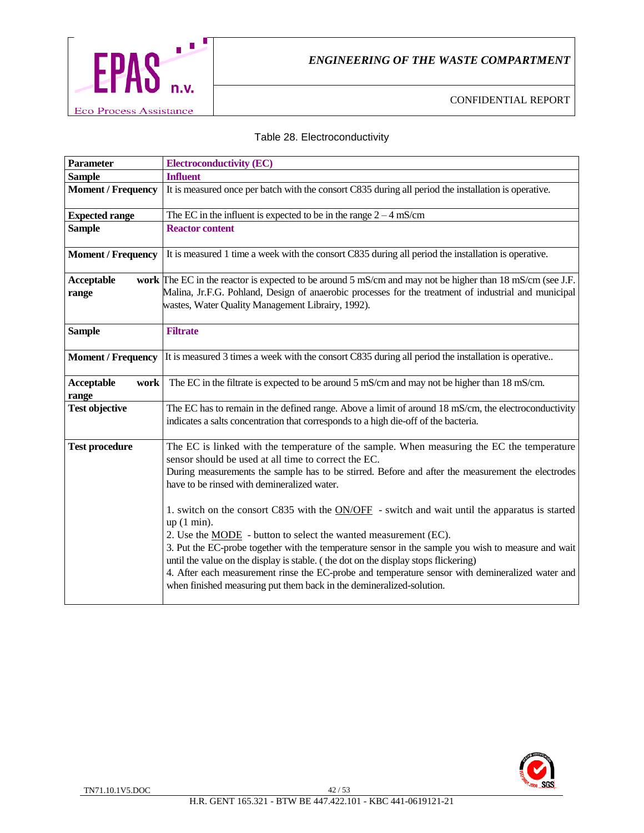

# Table 28. Electroconductivity

| <b>Parameter</b>            | <b>Electroconductivity (EC)</b>                                                                                                                                                                                                                                                                                                                                                                                                                                                                                                                                                                                                                                                                                                                                                                                                                                                 |
|-----------------------------|---------------------------------------------------------------------------------------------------------------------------------------------------------------------------------------------------------------------------------------------------------------------------------------------------------------------------------------------------------------------------------------------------------------------------------------------------------------------------------------------------------------------------------------------------------------------------------------------------------------------------------------------------------------------------------------------------------------------------------------------------------------------------------------------------------------------------------------------------------------------------------|
| <b>Sample</b>               | <b>Influent</b>                                                                                                                                                                                                                                                                                                                                                                                                                                                                                                                                                                                                                                                                                                                                                                                                                                                                 |
| <b>Moment / Frequency</b>   | It is measured once per batch with the consort C835 during all period the installation is operative.                                                                                                                                                                                                                                                                                                                                                                                                                                                                                                                                                                                                                                                                                                                                                                            |
| <b>Expected range</b>       | The EC in the influent is expected to be in the range $2 - 4$ mS/cm                                                                                                                                                                                                                                                                                                                                                                                                                                                                                                                                                                                                                                                                                                                                                                                                             |
| <b>Sample</b>               | <b>Reactor content</b>                                                                                                                                                                                                                                                                                                                                                                                                                                                                                                                                                                                                                                                                                                                                                                                                                                                          |
| <b>Moment / Frequency</b>   | It is measured 1 time a week with the consort C835 during all period the installation is operative.                                                                                                                                                                                                                                                                                                                                                                                                                                                                                                                                                                                                                                                                                                                                                                             |
| Acceptable<br>range         | work The EC in the reactor is expected to be around 5 mS/cm and may not be higher than 18 mS/cm (see J.F.<br>Malina, Jr.F.G. Pohland, Design of anaerobic processes for the treatment of industrial and municipal<br>wastes, Water Quality Management Librairy, 1992).                                                                                                                                                                                                                                                                                                                                                                                                                                                                                                                                                                                                          |
| <b>Sample</b>               | <b>Filtrate</b>                                                                                                                                                                                                                                                                                                                                                                                                                                                                                                                                                                                                                                                                                                                                                                                                                                                                 |
| <b>Moment / Frequency</b>   | It is measured 3 times a week with the consort C835 during all period the installation is operative                                                                                                                                                                                                                                                                                                                                                                                                                                                                                                                                                                                                                                                                                                                                                                             |
| Acceptable<br>work<br>range | The EC in the filtrate is expected to be around 5 mS/cm and may not be higher than 18 mS/cm.                                                                                                                                                                                                                                                                                                                                                                                                                                                                                                                                                                                                                                                                                                                                                                                    |
| <b>Test objective</b>       | The EC has to remain in the defined range. Above a limit of around 18 mS/cm, the electroconductivity<br>indicates a salts concentration that corresponds to a high die-off of the bacteria.                                                                                                                                                                                                                                                                                                                                                                                                                                                                                                                                                                                                                                                                                     |
| <b>Test procedure</b>       | The EC is linked with the temperature of the sample. When measuring the EC the temperature<br>sensor should be used at all time to correct the EC.<br>During measurements the sample has to be stirred. Before and after the measurement the electrodes<br>have to be rinsed with demineralized water.<br>1. switch on the consort C835 with the $ON/OFF$ - switch and wait until the apparatus is started<br>$up(1 min)$ .<br>2. Use the <b>MODE</b> - button to select the wanted measurement (EC).<br>3. Put the EC-probe together with the temperature sensor in the sample you wish to measure and wait<br>until the value on the display is stable. (the dot on the display stops flickering)<br>4. After each measurement rinse the EC-probe and temperature sensor with demineralized water and<br>when finished measuring put them back in the demineralized-solution. |

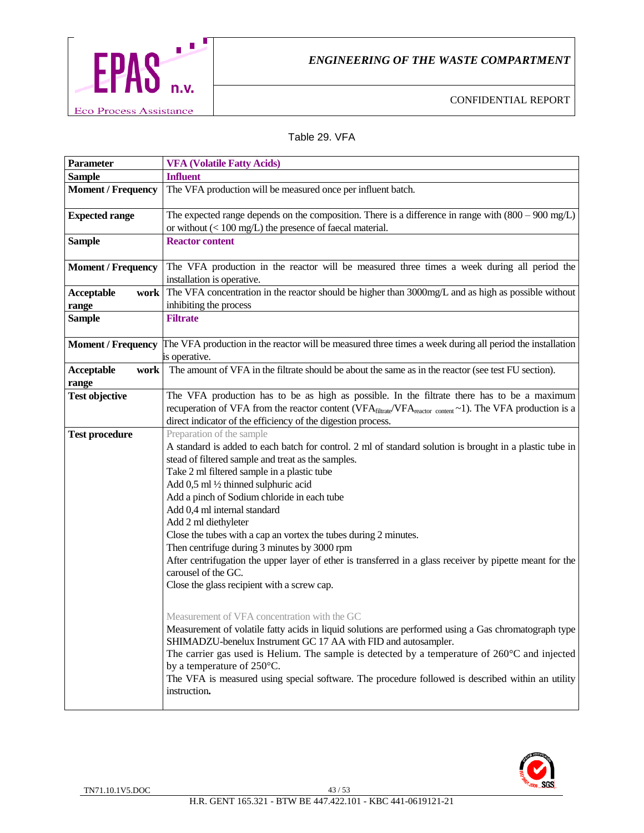

CONFIDENTIAL REPORT

#### Table 29. VFA

| Parameter                          | <b>VFA (Volatile Fatty Acids)</b>                                                                                                                                                                                                                                                                                                                                                                                                                                                                                                                                                                                                                                                                                                                                                                                                                                                                                                                                                                                                                                                                                                                                                         |
|------------------------------------|-------------------------------------------------------------------------------------------------------------------------------------------------------------------------------------------------------------------------------------------------------------------------------------------------------------------------------------------------------------------------------------------------------------------------------------------------------------------------------------------------------------------------------------------------------------------------------------------------------------------------------------------------------------------------------------------------------------------------------------------------------------------------------------------------------------------------------------------------------------------------------------------------------------------------------------------------------------------------------------------------------------------------------------------------------------------------------------------------------------------------------------------------------------------------------------------|
| <b>Sample</b>                      | <b>Influent</b>                                                                                                                                                                                                                                                                                                                                                                                                                                                                                                                                                                                                                                                                                                                                                                                                                                                                                                                                                                                                                                                                                                                                                                           |
| <b>Moment / Frequency</b>          | The VFA production will be measured once per influent batch.                                                                                                                                                                                                                                                                                                                                                                                                                                                                                                                                                                                                                                                                                                                                                                                                                                                                                                                                                                                                                                                                                                                              |
| <b>Expected range</b>              | The expected range depends on the composition. There is a difference in range with $(800 - 900 \text{ mg/L})$<br>or without $(< 100 \text{ mg/L})$ the presence of faecal material.                                                                                                                                                                                                                                                                                                                                                                                                                                                                                                                                                                                                                                                                                                                                                                                                                                                                                                                                                                                                       |
| <b>Sample</b>                      | <b>Reactor content</b>                                                                                                                                                                                                                                                                                                                                                                                                                                                                                                                                                                                                                                                                                                                                                                                                                                                                                                                                                                                                                                                                                                                                                                    |
| <b>Moment / Frequency</b>          | The VFA production in the reactor will be measured three times a week during all period the<br>installation is operative.                                                                                                                                                                                                                                                                                                                                                                                                                                                                                                                                                                                                                                                                                                                                                                                                                                                                                                                                                                                                                                                                 |
| <b>Acceptable</b><br>work<br>range | The VFA concentration in the reactor should be higher than 3000mg/L and as high as possible without<br>inhibiting the process                                                                                                                                                                                                                                                                                                                                                                                                                                                                                                                                                                                                                                                                                                                                                                                                                                                                                                                                                                                                                                                             |
| <b>Sample</b>                      | <b>Filtrate</b>                                                                                                                                                                                                                                                                                                                                                                                                                                                                                                                                                                                                                                                                                                                                                                                                                                                                                                                                                                                                                                                                                                                                                                           |
| <b>Moment / Frequency</b>          | The VFA production in the reactor will be measured three times a week during all period the installation<br>is operative.                                                                                                                                                                                                                                                                                                                                                                                                                                                                                                                                                                                                                                                                                                                                                                                                                                                                                                                                                                                                                                                                 |
| <b>Acceptable</b><br>work<br>range | The amount of VFA in the filtrate should be about the same as in the reactor (see test FU section).                                                                                                                                                                                                                                                                                                                                                                                                                                                                                                                                                                                                                                                                                                                                                                                                                                                                                                                                                                                                                                                                                       |
| <b>Test objective</b>              | The VFA production has to be as high as possible. In the filtrate there has to be a maximum<br>recuperation of VFA from the reactor content (VFA filtrate/VFA reactor content ~1). The VFA production is a<br>direct indicator of the efficiency of the digestion process.                                                                                                                                                                                                                                                                                                                                                                                                                                                                                                                                                                                                                                                                                                                                                                                                                                                                                                                |
| <b>Test procedure</b>              | Preparation of the sample<br>A standard is added to each batch for control. 2 ml of standard solution is brought in a plastic tube in<br>stead of filtered sample and treat as the samples.<br>Take 2 ml filtered sample in a plastic tube<br>Add 0,5 ml 1/2 thinned sulphuric acid<br>Add a pinch of Sodium chloride in each tube<br>Add 0,4 ml internal standard<br>Add 2 ml diethyleter<br>Close the tubes with a cap an vortex the tubes during 2 minutes.<br>Then centrifuge during 3 minutes by 3000 rpm<br>After centrifugation the upper layer of ether is transferred in a glass receiver by pipette meant for the<br>carousel of the GC.<br>Close the glass recipient with a screw cap.<br>Measurement of VFA concentration with the GC<br>Measurement of volatile fatty acids in liquid solutions are performed using a Gas chromatograph type<br>SHIMADZU-benelux Instrument GC 17 AA with FID and autosampler.<br>The carrier gas used is Helium. The sample is detected by a temperature of $260^{\circ}$ C and injected<br>by a temperature of 250°C.<br>The VFA is measured using special software. The procedure followed is described within an utility<br>instruction. |

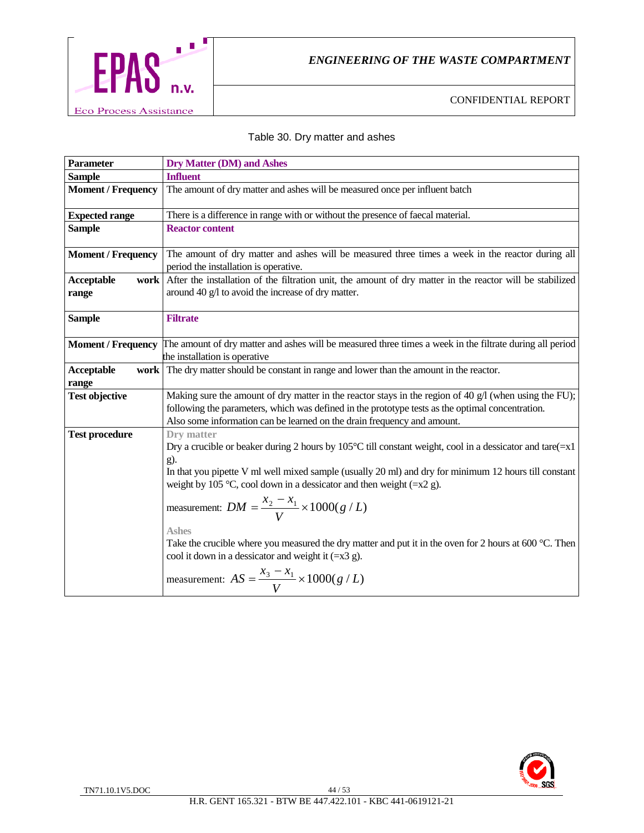

#### Table 30. Dry matter and ashes

| <b>Parameter</b>            | <b>Dry Matter (DM) and Ashes</b>                                                                                                                                                                                                                                                                                                                                                                                                                                                                                                                                                                                                             |
|-----------------------------|----------------------------------------------------------------------------------------------------------------------------------------------------------------------------------------------------------------------------------------------------------------------------------------------------------------------------------------------------------------------------------------------------------------------------------------------------------------------------------------------------------------------------------------------------------------------------------------------------------------------------------------------|
| <b>Sample</b>               | <b>Influent</b>                                                                                                                                                                                                                                                                                                                                                                                                                                                                                                                                                                                                                              |
| <b>Moment / Frequency</b>   | The amount of dry matter and ashes will be measured once per influent batch                                                                                                                                                                                                                                                                                                                                                                                                                                                                                                                                                                  |
| <b>Expected range</b>       | There is a difference in range with or without the presence of faecal material.                                                                                                                                                                                                                                                                                                                                                                                                                                                                                                                                                              |
| <b>Sample</b>               | <b>Reactor content</b>                                                                                                                                                                                                                                                                                                                                                                                                                                                                                                                                                                                                                       |
| <b>Moment / Frequency</b>   | The amount of dry matter and ashes will be measured three times a week in the reactor during all<br>period the installation is operative.                                                                                                                                                                                                                                                                                                                                                                                                                                                                                                    |
| Acceptable<br>work<br>range | After the installation of the filtration unit, the amount of dry matter in the reactor will be stabilized<br>around 40 g/l to avoid the increase of dry matter.                                                                                                                                                                                                                                                                                                                                                                                                                                                                              |
| <b>Sample</b>               | <b>Filtrate</b>                                                                                                                                                                                                                                                                                                                                                                                                                                                                                                                                                                                                                              |
| <b>Moment / Frequency</b>   | The amount of dry matter and ashes will be measured three times a week in the filtrate during all period<br>the installation is operative                                                                                                                                                                                                                                                                                                                                                                                                                                                                                                    |
| Acceptable<br>work          | The dry matter should be constant in range and lower than the amount in the reactor.                                                                                                                                                                                                                                                                                                                                                                                                                                                                                                                                                         |
| range                       |                                                                                                                                                                                                                                                                                                                                                                                                                                                                                                                                                                                                                                              |
| <b>Test objective</b>       | Making sure the amount of dry matter in the reactor stays in the region of 40 $g/1$ (when using the FU);<br>following the parameters, which was defined in the prototype tests as the optimal concentration.<br>Also some information can be learned on the drain frequency and amount.                                                                                                                                                                                                                                                                                                                                                      |
| <b>Test procedure</b>       | Dry matter<br>Dry a crucible or beaker during 2 hours by 105°C till constant weight, cool in a dessicator and tare $(=x1$<br>g).<br>In that you pipette V ml well mixed sample (usually 20 ml) and dry for minimum 12 hours till constant<br>weight by 105 °C, cool down in a dessicator and then weight $(=x2 g)$ .<br>measurement: $DM = \frac{x_2 - x_1}{V} \times 1000(g/L)$<br><b>Ashes</b><br>Take the crucible where you measured the dry matter and put it in the oven for 2 hours at 600 $^{\circ}$ C. Then<br>cool it down in a dessicator and weight it $(=x3 g)$ .<br>measurement: $AS = \frac{x_3 - x_1}{V} \times 1000(g / L)$ |

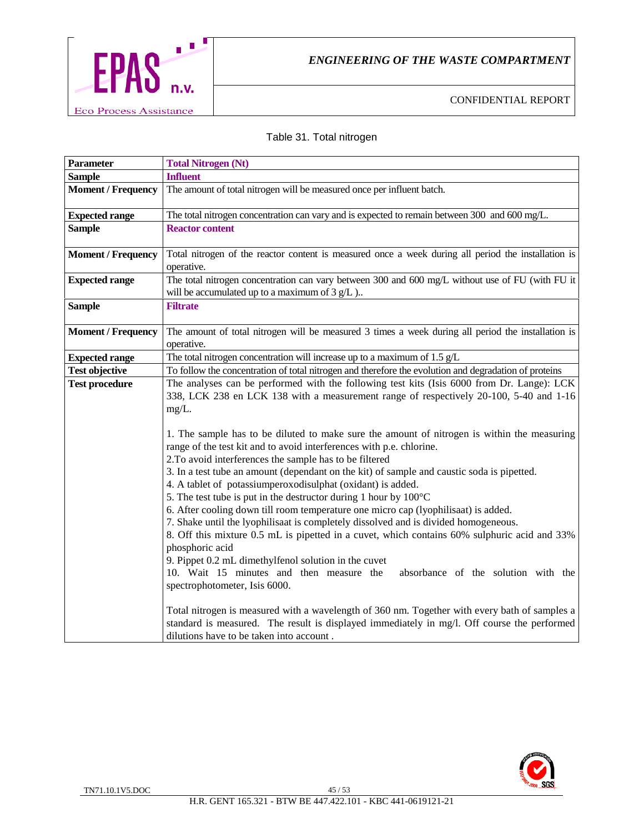

# Table 31. Total nitrogen

| <b>Parameter</b>          | <b>Total Nitrogen (Nt)</b>                                                                                                                                                                                                                                                                                                                                                                                                                                                                                                                                                                                                                                                                                                                                                                                                                                                                                                                                                                                                                                                                                                                                                                                                                                                                                                                                                                  |
|---------------------------|---------------------------------------------------------------------------------------------------------------------------------------------------------------------------------------------------------------------------------------------------------------------------------------------------------------------------------------------------------------------------------------------------------------------------------------------------------------------------------------------------------------------------------------------------------------------------------------------------------------------------------------------------------------------------------------------------------------------------------------------------------------------------------------------------------------------------------------------------------------------------------------------------------------------------------------------------------------------------------------------------------------------------------------------------------------------------------------------------------------------------------------------------------------------------------------------------------------------------------------------------------------------------------------------------------------------------------------------------------------------------------------------|
| <b>Sample</b>             | <b>Influent</b>                                                                                                                                                                                                                                                                                                                                                                                                                                                                                                                                                                                                                                                                                                                                                                                                                                                                                                                                                                                                                                                                                                                                                                                                                                                                                                                                                                             |
| <b>Moment / Frequency</b> | The amount of total nitrogen will be measured once per influent batch.                                                                                                                                                                                                                                                                                                                                                                                                                                                                                                                                                                                                                                                                                                                                                                                                                                                                                                                                                                                                                                                                                                                                                                                                                                                                                                                      |
| <b>Expected range</b>     | The total nitrogen concentration can vary and is expected to remain between 300 and 600 mg/L.                                                                                                                                                                                                                                                                                                                                                                                                                                                                                                                                                                                                                                                                                                                                                                                                                                                                                                                                                                                                                                                                                                                                                                                                                                                                                               |
| <b>Sample</b>             | <b>Reactor content</b>                                                                                                                                                                                                                                                                                                                                                                                                                                                                                                                                                                                                                                                                                                                                                                                                                                                                                                                                                                                                                                                                                                                                                                                                                                                                                                                                                                      |
| <b>Moment / Frequency</b> | Total nitrogen of the reactor content is measured once a week during all period the installation is<br>operative.                                                                                                                                                                                                                                                                                                                                                                                                                                                                                                                                                                                                                                                                                                                                                                                                                                                                                                                                                                                                                                                                                                                                                                                                                                                                           |
| <b>Expected range</b>     | The total nitrogen concentration can vary between 300 and 600 mg/L without use of FU (with FU it<br>will be accumulated up to a maximum of $3 g/L$ )                                                                                                                                                                                                                                                                                                                                                                                                                                                                                                                                                                                                                                                                                                                                                                                                                                                                                                                                                                                                                                                                                                                                                                                                                                        |
| <b>Sample</b>             | <b>Filtrate</b>                                                                                                                                                                                                                                                                                                                                                                                                                                                                                                                                                                                                                                                                                                                                                                                                                                                                                                                                                                                                                                                                                                                                                                                                                                                                                                                                                                             |
| <b>Moment / Frequency</b> | The amount of total nitrogen will be measured 3 times a week during all period the installation is<br>operative.                                                                                                                                                                                                                                                                                                                                                                                                                                                                                                                                                                                                                                                                                                                                                                                                                                                                                                                                                                                                                                                                                                                                                                                                                                                                            |
| <b>Expected range</b>     | The total nitrogen concentration will increase up to a maximum of $1.5 \text{ g/L}$                                                                                                                                                                                                                                                                                                                                                                                                                                                                                                                                                                                                                                                                                                                                                                                                                                                                                                                                                                                                                                                                                                                                                                                                                                                                                                         |
| <b>Test objective</b>     | To follow the concentration of total nitrogen and therefore the evolution and degradation of proteins                                                                                                                                                                                                                                                                                                                                                                                                                                                                                                                                                                                                                                                                                                                                                                                                                                                                                                                                                                                                                                                                                                                                                                                                                                                                                       |
| <b>Test procedure</b>     | The analyses can be performed with the following test kits (Isis 6000 from Dr. Lange): LCK<br>338, LCK 238 en LCK 138 with a measurement range of respectively 20-100, 5-40 and 1-16<br>$mg/L$ .<br>1. The sample has to be diluted to make sure the amount of nitrogen is within the measuring<br>range of the test kit and to avoid interferences with p.e. chlorine.<br>2. To avoid interferences the sample has to be filtered<br>3. In a test tube an amount (dependant on the kit) of sample and caustic soda is pipetted.<br>4. A tablet of potassiumperoxodisulphat (oxidant) is added.<br>5. The test tube is put in the destructor during 1 hour by 100°C<br>6. After cooling down till room temperature one micro cap (lyophilisaat) is added.<br>7. Shake until the lyophilisaat is completely dissolved and is divided homogeneous.<br>8. Off this mixture 0.5 mL is pipetted in a cuvet, which contains 60% sulphuric acid and 33%<br>phosphoric acid<br>9. Pippet 0.2 mL dimethylfenol solution in the cuvet<br>10. Wait 15 minutes and then measure the<br>absorbance of the solution with the<br>spectrophotometer, Isis 6000.<br>Total nitrogen is measured with a wavelength of 360 nm. Together with every bath of samples a<br>standard is measured. The result is displayed immediately in mg/l. Off course the performed<br>dilutions have to be taken into account. |

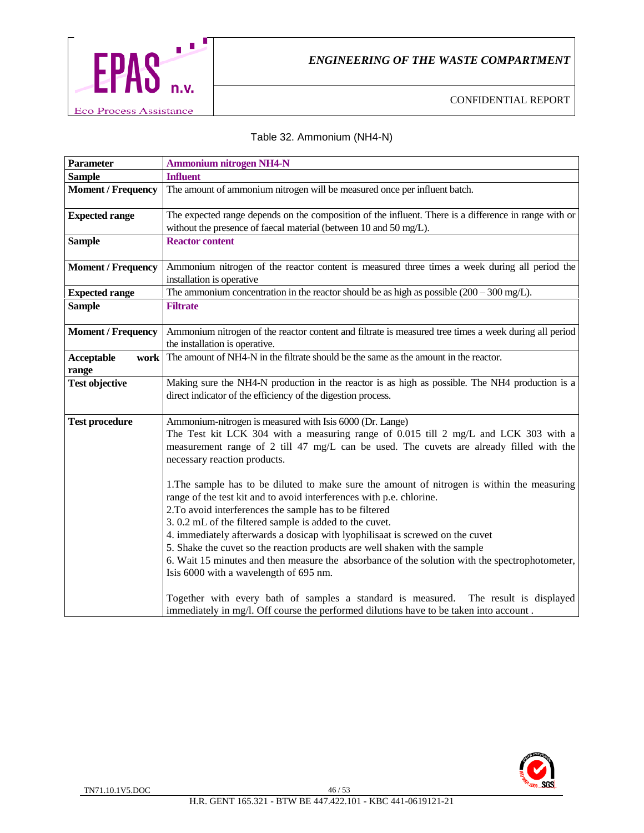

#### Table 32. Ammonium (NH4-N)

| <b>Parameter</b>                   | <b>Ammonium nitrogen NH4-N</b>                                                                                                                                                                                                                                                                                                                                            |
|------------------------------------|---------------------------------------------------------------------------------------------------------------------------------------------------------------------------------------------------------------------------------------------------------------------------------------------------------------------------------------------------------------------------|
| <b>Sample</b>                      | <b>Influent</b>                                                                                                                                                                                                                                                                                                                                                           |
| <b>Moment / Frequency</b>          | The amount of ammonium nitrogen will be measured once per influent batch.                                                                                                                                                                                                                                                                                                 |
| <b>Expected range</b>              | The expected range depends on the composition of the influent. There is a difference in range with or<br>without the presence of faecal material (between 10 and 50 mg/L).                                                                                                                                                                                                |
| <b>Sample</b>                      | <b>Reactor content</b>                                                                                                                                                                                                                                                                                                                                                    |
| <b>Moment / Frequency</b>          | Ammonium nitrogen of the reactor content is measured three times a week during all period the<br>installation is operative                                                                                                                                                                                                                                                |
| <b>Expected range</b>              | The ammonium concentration in the reactor should be as high as possible $(200 - 300 \text{ mg/L})$ .                                                                                                                                                                                                                                                                      |
| <b>Sample</b>                      | <b>Filtrate</b>                                                                                                                                                                                                                                                                                                                                                           |
| <b>Moment / Frequency</b>          | Ammonium nitrogen of the reactor content and filtrate is measured tree times a week during all period<br>the installation is operative.                                                                                                                                                                                                                                   |
| <b>Acceptable</b><br>work<br>range | The amount of NH4-N in the filtrate should be the same as the amount in the reactor.                                                                                                                                                                                                                                                                                      |
| <b>Test objective</b>              | Making sure the NH4-N production in the reactor is as high as possible. The NH4 production is a<br>direct indicator of the efficiency of the digestion process.                                                                                                                                                                                                           |
| <b>Test procedure</b>              | Ammonium-nitrogen is measured with Isis 6000 (Dr. Lange)<br>The Test kit LCK 304 with a measuring range of 0.015 till 2 mg/L and LCK 303 with a<br>measurement range of 2 till 47 mg/L can be used. The cuvets are already filled with the<br>necessary reaction products.<br>1. The sample has to be diluted to make sure the amount of nitrogen is within the measuring |
|                                    | range of the test kit and to avoid interferences with p.e. chlorine.<br>2. To avoid interferences the sample has to be filtered                                                                                                                                                                                                                                           |
|                                    | 3.0.2 mL of the filtered sample is added to the cuvet.                                                                                                                                                                                                                                                                                                                    |
|                                    | 4. immediately afterwards a dosicap with lyophilisaat is screwed on the cuvet                                                                                                                                                                                                                                                                                             |
|                                    | 5. Shake the cuvet so the reaction products are well shaken with the sample                                                                                                                                                                                                                                                                                               |
|                                    | 6. Wait 15 minutes and then measure the absorbance of the solution with the spectrophotometer,<br>Isis 6000 with a wavelength of 695 nm.                                                                                                                                                                                                                                  |
|                                    | Together with every bath of samples a standard is measured. The result is displayed<br>immediately in mg/l. Off course the performed dilutions have to be taken into account.                                                                                                                                                                                             |

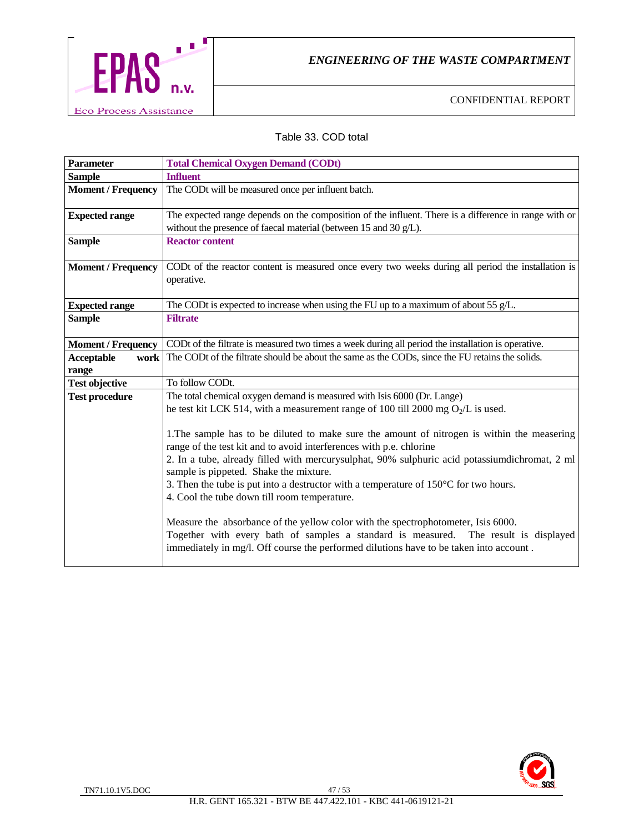

#### Table 33. COD total

| <b>Parameter</b>          | <b>Total Chemical Oxygen Demand (CODt)</b>                                                                                                                                                                                                                                                                                                                                                                                                                      |
|---------------------------|-----------------------------------------------------------------------------------------------------------------------------------------------------------------------------------------------------------------------------------------------------------------------------------------------------------------------------------------------------------------------------------------------------------------------------------------------------------------|
| <b>Sample</b>             | <b>Influent</b>                                                                                                                                                                                                                                                                                                                                                                                                                                                 |
| <b>Moment / Frequency</b> | The CODt will be measured once per influent batch.                                                                                                                                                                                                                                                                                                                                                                                                              |
| <b>Expected range</b>     | The expected range depends on the composition of the influent. There is a difference in range with or<br>without the presence of faecal material (between 15 and 30 g/L).                                                                                                                                                                                                                                                                                       |
| <b>Sample</b>             | <b>Reactor content</b>                                                                                                                                                                                                                                                                                                                                                                                                                                          |
| <b>Moment / Frequency</b> | CODt of the reactor content is measured once every two weeks during all period the installation is<br>operative.                                                                                                                                                                                                                                                                                                                                                |
| <b>Expected range</b>     | The CODt is expected to increase when using the FU up to a maximum of about 55 $g/L$ .                                                                                                                                                                                                                                                                                                                                                                          |
| <b>Sample</b>             | <b>Filtrate</b>                                                                                                                                                                                                                                                                                                                                                                                                                                                 |
| <b>Moment / Frequency</b> | CODt of the filtrate is measured two times a week during all period the installation is operative.                                                                                                                                                                                                                                                                                                                                                              |
| <b>Acceptable</b><br>work | The CODt of the filtrate should be about the same as the CODs, since the FU retains the solids.                                                                                                                                                                                                                                                                                                                                                                 |
| range                     |                                                                                                                                                                                                                                                                                                                                                                                                                                                                 |
| <b>Test objective</b>     | To follow CODt.                                                                                                                                                                                                                                                                                                                                                                                                                                                 |
| <b>Test procedure</b>     | The total chemical oxygen demand is measured with Isis 6000 (Dr. Lange)                                                                                                                                                                                                                                                                                                                                                                                         |
|                           | he test kit LCK 514, with a measurement range of 100 till 2000 mg $O_2/L$ is used.                                                                                                                                                                                                                                                                                                                                                                              |
|                           | 1. The sample has to be diluted to make sure the amount of nitrogen is within the measering<br>range of the test kit and to avoid interferences with p.e. chlorine<br>2. In a tube, already filled with mercurysulphat, 90% sulphuric acid potassiumdichromat, 2 ml<br>sample is pippeted. Shake the mixture.<br>3. Then the tube is put into a destructor with a temperature of $150^{\circ}$ C for two hours.<br>4. Cool the tube down till room temperature. |
|                           | Measure the absorbance of the yellow color with the spectrophotometer, Isis 6000.<br>Together with every bath of samples a standard is measured. The result is displayed<br>immediately in mg/l. Off course the performed dilutions have to be taken into account.                                                                                                                                                                                              |

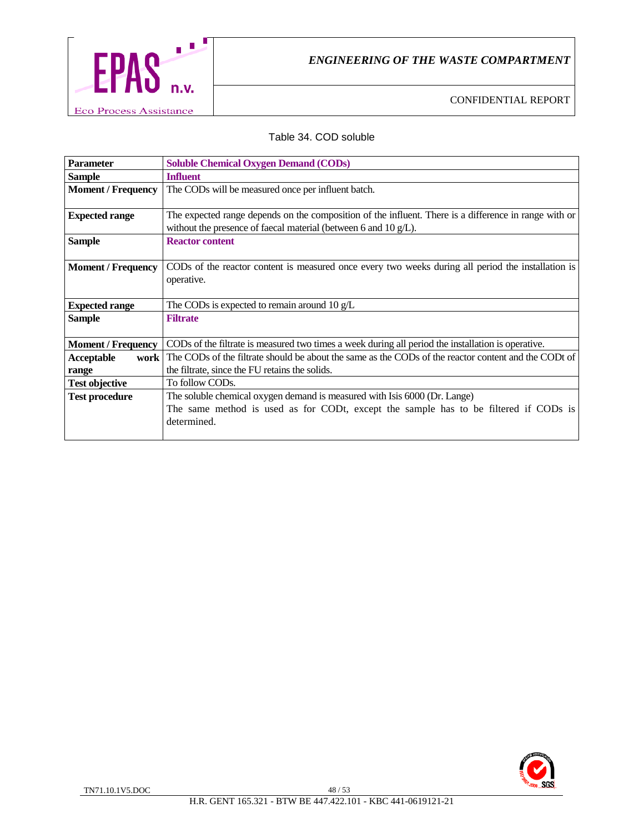

#### Table 34. COD soluble

| <b>Parameter</b>          | <b>Soluble Chemical Oxygen Demand (CODs)</b>                                                          |
|---------------------------|-------------------------------------------------------------------------------------------------------|
| <b>Sample</b>             | <b>Influent</b>                                                                                       |
| <b>Moment / Frequency</b> | The CODs will be measured once per influent batch.                                                    |
|                           |                                                                                                       |
| <b>Expected range</b>     | The expected range depends on the composition of the influent. There is a difference in range with or |
|                           | without the presence of faecal material (between 6 and $10 g/L$ ).                                    |
| <b>Sample</b>             | <b>Reactor content</b>                                                                                |
|                           |                                                                                                       |
| <b>Moment / Frequency</b> | CODs of the reactor content is measured once every two weeks during all period the installation is    |
|                           | operative.                                                                                            |
|                           |                                                                                                       |
| <b>Expected range</b>     | The CODs is expected to remain around $10 \text{ g/L}$                                                |
| <b>Sample</b>             | <b>Filtrate</b>                                                                                       |
|                           |                                                                                                       |
| <b>Moment / Frequency</b> | CODs of the filtrate is measured two times a week during all period the installation is operative.    |
| Acceptable<br>work        | The CODs of the filtrate should be about the same as the CODs of the reactor content and the CODt of  |
| range                     | the filtrate, since the FU retains the solids.                                                        |
| <b>Test objective</b>     | To follow CODs.                                                                                       |
| <b>Test procedure</b>     | The soluble chemical oxygen demand is measured with Isis 6000 (Dr. Lange)                             |
|                           | The same method is used as for CODt, except the sample has to be filtered if CODs is                  |
|                           | determined.                                                                                           |
|                           |                                                                                                       |

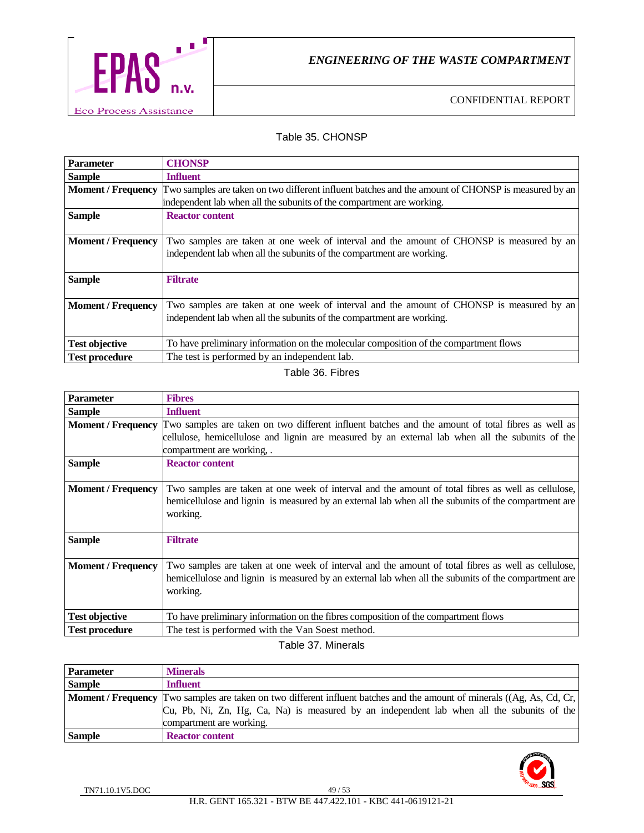

#### Table 35. CHONSP

| <b>Parameter</b>          | <b>CHONSP</b>                                                                                      |
|---------------------------|----------------------------------------------------------------------------------------------------|
| <b>Sample</b>             | <b>Influent</b>                                                                                    |
| <b>Moment / Frequency</b> | Two samples are taken on two different influent batches and the amount of CHONSP is measured by an |
|                           | independent lab when all the subunits of the compartment are working.                              |
| <b>Sample</b>             | <b>Reactor content</b>                                                                             |
|                           |                                                                                                    |
| <b>Moment / Frequency</b> | Two samples are taken at one week of interval and the amount of CHONSP is measured by an           |
|                           | independent lab when all the subunits of the compartment are working.                              |
|                           |                                                                                                    |
| <b>Sample</b>             | <b>Filtrate</b>                                                                                    |
|                           |                                                                                                    |
| <b>Moment / Frequency</b> | Two samples are taken at one week of interval and the amount of CHONSP is measured by an           |
|                           | independent lab when all the subunits of the compartment are working.                              |
|                           |                                                                                                    |
| <b>Test objective</b>     | To have preliminary information on the molecular composition of the compartment flows              |
| <b>Test procedure</b>     | The test is performed by an independent lab.                                                       |

#### Table 36. Fibres

| <b>Parameter</b>          | <b>Fibres</b>                                                                                                                                                                                                          |
|---------------------------|------------------------------------------------------------------------------------------------------------------------------------------------------------------------------------------------------------------------|
| <b>Sample</b>             | <b>Influent</b>                                                                                                                                                                                                        |
| <b>Moment / Frequency</b> | Two samples are taken on two different influent batches and the amount of total fibres as well as                                                                                                                      |
|                           | cellulose, hemicellulose and lignin are measured by an external lab when all the subunits of the<br>compartment are working,.                                                                                          |
| <b>Sample</b>             | <b>Reactor content</b>                                                                                                                                                                                                 |
| <b>Moment</b> / Frequency | Two samples are taken at one week of interval and the amount of total fibres as well as cellulose,<br>hemicellulose and lignin is measured by an external lab when all the subunits of the compartment are<br>working. |
| <b>Sample</b>             | <b>Filtrate</b>                                                                                                                                                                                                        |
| <b>Moment / Frequency</b> | Two samples are taken at one week of interval and the amount of total fibres as well as cellulose,<br>hemicellulose and lignin is measured by an external lab when all the subunits of the compartment are<br>working. |
| <b>Test objective</b>     | To have preliminary information on the fibres composition of the compartment flows                                                                                                                                     |
| <b>Test procedure</b>     | The test is performed with the Van Soest method.                                                                                                                                                                       |

Table 37. Minerals

| <b>Parameter</b> | <b>Minerals</b>                                                                                                                       |  |  |  |
|------------------|---------------------------------------------------------------------------------------------------------------------------------------|--|--|--|
| <b>Sample</b>    | <b>Influent</b>                                                                                                                       |  |  |  |
|                  | <b>Moment</b> / <b>Frequency</b> Two samples are taken on two different influent batches and the amount of minerals ((Ag, As, Cd, Cr, |  |  |  |
|                  | Cu, Pb, Ni, Zn, Hg, Ca, Na) is measured by an independent lab when all the subunits of the                                            |  |  |  |
|                  | compartment are working.                                                                                                              |  |  |  |
| <b>Sample</b>    | <b>Reactor content</b>                                                                                                                |  |  |  |

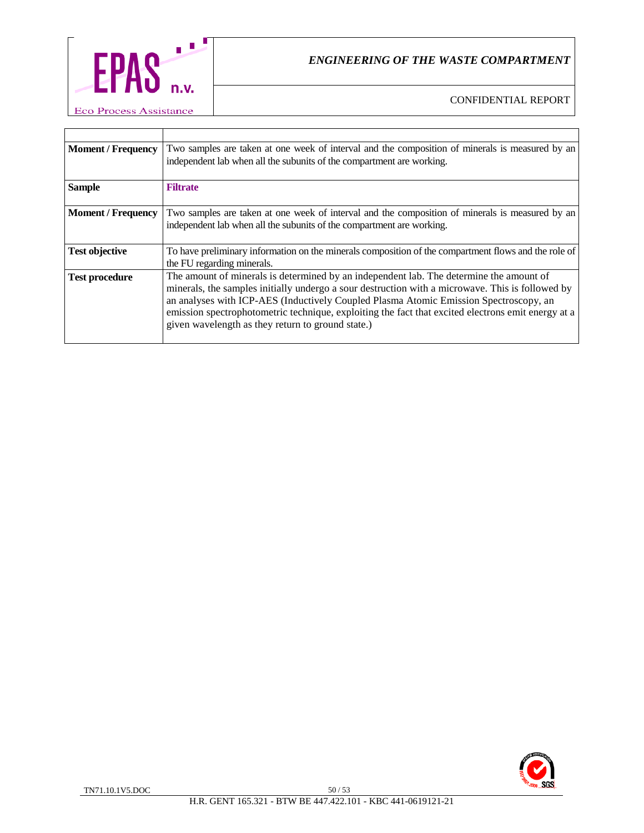

| <b>Moment / Frequency</b> | Two samples are taken at one week of interval and the composition of minerals is measured by an                                                                                                                                                                                                                                                                                                                                                 |  |  |  |  |
|---------------------------|-------------------------------------------------------------------------------------------------------------------------------------------------------------------------------------------------------------------------------------------------------------------------------------------------------------------------------------------------------------------------------------------------------------------------------------------------|--|--|--|--|
|                           | independent lab when all the subunits of the compartment are working.                                                                                                                                                                                                                                                                                                                                                                           |  |  |  |  |
| <b>Sample</b>             | <b>Filtrate</b>                                                                                                                                                                                                                                                                                                                                                                                                                                 |  |  |  |  |
| <b>Moment / Frequency</b> | Two samples are taken at one week of interval and the composition of minerals is measured by an<br>independent lab when all the subunits of the compartment are working.                                                                                                                                                                                                                                                                        |  |  |  |  |
| <b>Test objective</b>     | To have preliminary information on the minerals composition of the compartment flows and the role of<br>the FU regarding minerals.                                                                                                                                                                                                                                                                                                              |  |  |  |  |
| <b>Test procedure</b>     | The amount of minerals is determined by an independent lab. The determine the amount of<br>minerals, the samples initially undergo a sour destruction with a microwave. This is followed by<br>an analyses with ICP-AES (Inductively Coupled Plasma Atomic Emission Spectroscopy, an<br>emission spectrophotometric technique, exploiting the fact that excited electrons emit energy at a<br>given wavelength as they return to ground state.) |  |  |  |  |

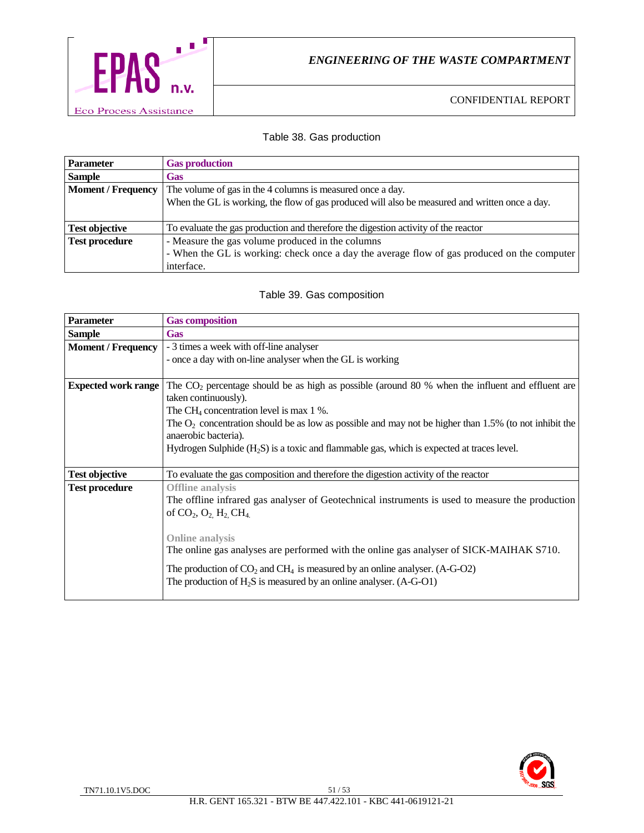

#### Table 38. Gas production

| <b>Parameter</b>          | <b>Gas production</b>                                                                          |  |  |  |
|---------------------------|------------------------------------------------------------------------------------------------|--|--|--|
| <b>Sample</b>             | <b>Gas</b>                                                                                     |  |  |  |
| <b>Moment / Frequency</b> | The volume of gas in the 4 columns is measured once a day.                                     |  |  |  |
|                           | When the GL is working, the flow of gas produced will also be measured and written once a day. |  |  |  |
|                           |                                                                                                |  |  |  |
| <b>Test objective</b>     | To evaluate the gas production and therefore the digestion activity of the reactor             |  |  |  |
| <b>Test procedure</b>     | - Measure the gas volume produced in the columns                                               |  |  |  |
|                           | - When the GL is working: check once a day the average flow of gas produced on the computer    |  |  |  |
|                           | interface.                                                                                     |  |  |  |

#### Table 39. Gas composition

| <b>Parameter</b>           | <b>Gas composition</b>                                                                                                                                                                                                                                                                                                                                                                                                                             |  |  |  |  |
|----------------------------|----------------------------------------------------------------------------------------------------------------------------------------------------------------------------------------------------------------------------------------------------------------------------------------------------------------------------------------------------------------------------------------------------------------------------------------------------|--|--|--|--|
| <b>Sample</b>              | <b>Gas</b>                                                                                                                                                                                                                                                                                                                                                                                                                                         |  |  |  |  |
| <b>Moment / Frequency</b>  | - 3 times a week with off-line analyser<br>- once a day with on-line analyser when the GL is working                                                                                                                                                                                                                                                                                                                                               |  |  |  |  |
| <b>Expected work range</b> | The $CO2$ percentage should be as high as possible (around 80 % when the influent and effluent are<br>taken continuously).<br>The CH <sub>4</sub> concentration level is max $1\%$ .<br>The $O_2$ concentration should be as low as possible and may not be higher than 1.5% (to not inhibit the<br>anaerobic bacteria).<br>Hydrogen Sulphide (H <sub>2</sub> S) is a toxic and flammable gas, which is expected at traces level.                  |  |  |  |  |
| <b>Test objective</b>      | To evaluate the gas composition and therefore the digestion activity of the reactor                                                                                                                                                                                                                                                                                                                                                                |  |  |  |  |
| <b>Test procedure</b>      | <b>Offline</b> analysis<br>The offline infrared gas analyser of Geotechnical instruments is used to measure the production<br>of $CO_2$ , $O_2$ , $H_2$ , $CH_4$<br><b>Online analysis</b><br>The online gas analyses are performed with the online gas analyser of SICK-MAIHAK S710.<br>The production of $CO_2$ and $CH_4$ is measured by an online analyser. (A-G-O2)<br>The production of $H_2S$ is measured by an online analyser. $(A-G-O1)$ |  |  |  |  |

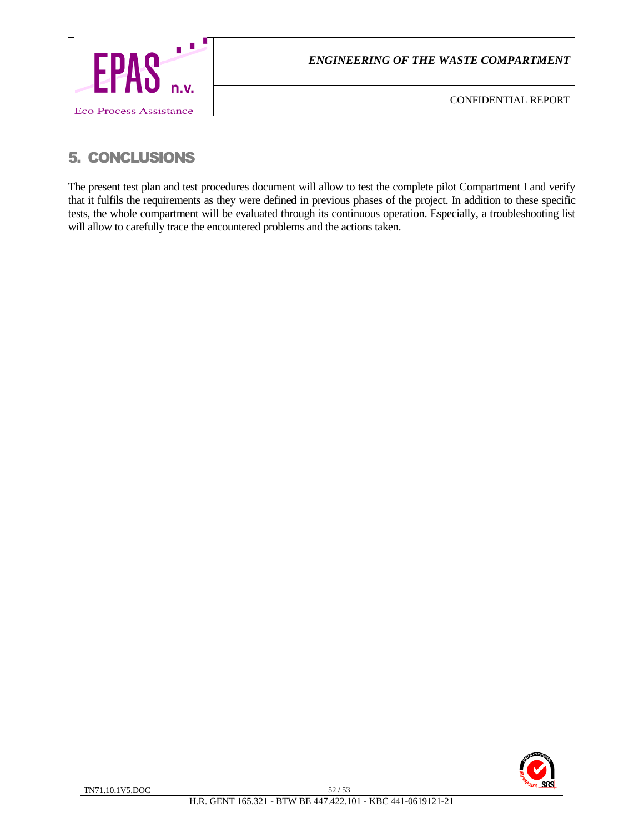

# 5. CONCLUSIONS

The present test plan and test procedures document will allow to test the complete pilot Compartment I and verify that it fulfils the requirements as they were defined in previous phases of the project. In addition to these specific tests, the whole compartment will be evaluated through its continuous operation. Especially, a troubleshooting list will allow to carefully trace the encountered problems and the actions taken.